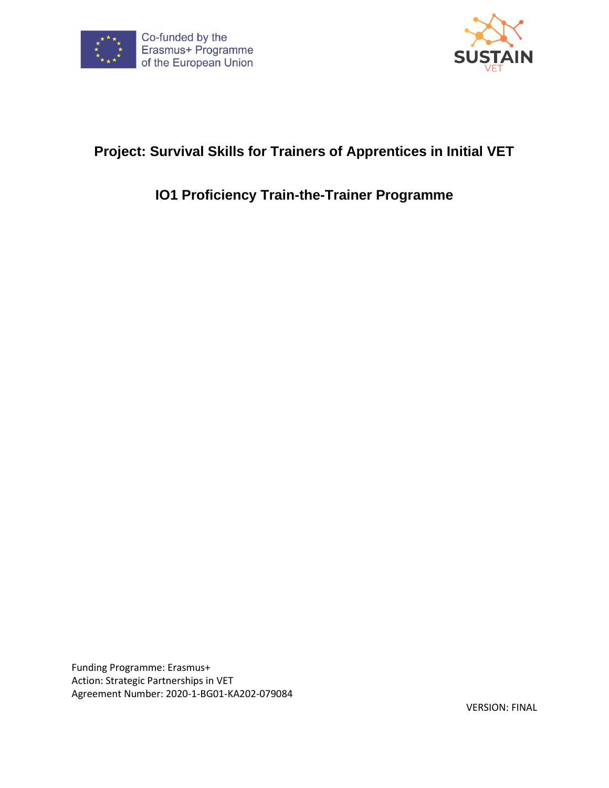



# **Project: Survival Skills for Trainers of Apprentices in Initial VET**

# **IO1 Proficiency Train-the-Trainer Programme**

Funding Programme: Erasmus+ Action: Strategic Partnerships in VET Agreement Number: 2020-1-BG01-KA202-079084

VERSION: FINAL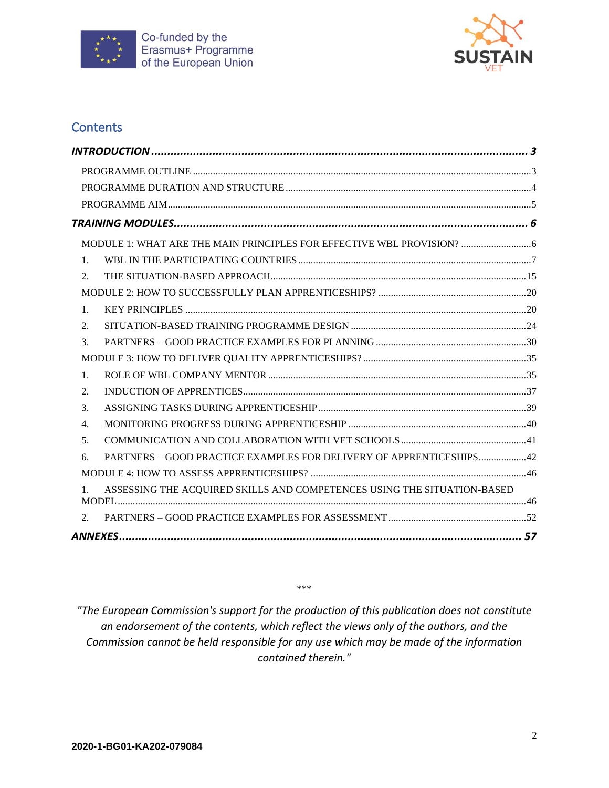



### **Contents**

| 1.             |                                                                         |  |
|----------------|-------------------------------------------------------------------------|--|
| 2.             |                                                                         |  |
|                |                                                                         |  |
| 1.             |                                                                         |  |
| 2.             |                                                                         |  |
| 3.             |                                                                         |  |
|                |                                                                         |  |
| $\mathbf{1}$ . |                                                                         |  |
| 2.             |                                                                         |  |
| 3.             |                                                                         |  |
| 4.             |                                                                         |  |
| 5.             |                                                                         |  |
| 6.             | PARTNERS - GOOD PRACTICE EXAMPLES FOR DELIVERY OF APPRENTICESHIPS42     |  |
|                |                                                                         |  |
| $1_{-}$        | ASSESSING THE ACQUIRED SKILLS AND COMPETENCES USING THE SITUATION-BASED |  |
|                |                                                                         |  |
| 2.             |                                                                         |  |
|                |                                                                         |  |

\*\*\*

*"The European Commission's support for the production of this publication does not constitute an endorsement of the contents, which reflect the views only of the authors, and the Commission cannot be held responsible for any use which may be made of the information contained therein."*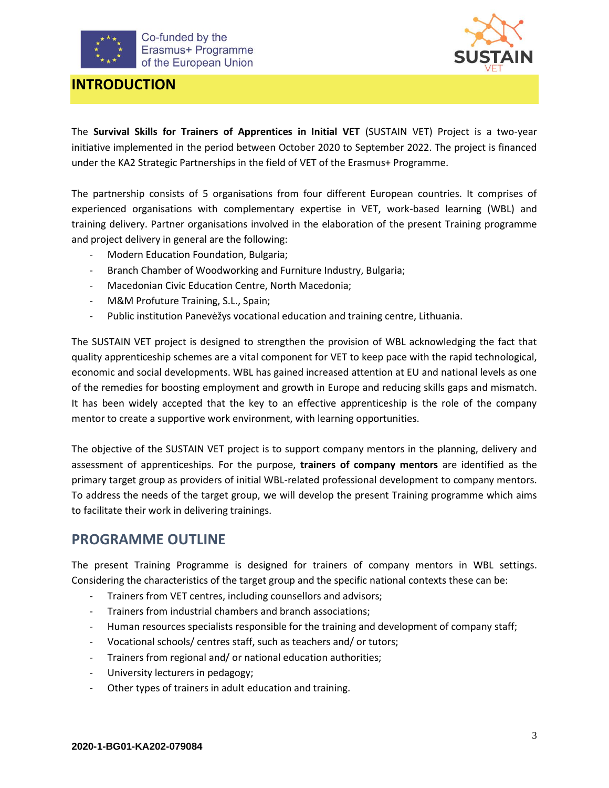



### <span id="page-2-0"></span>**INTRODUCTION**

The **Survival Skills for Trainers of Apprentices in Initial VET** (SUSTAIN VET) Project is a two-year initiative implemented in the period between October 2020 to September 2022. The project is financed under the KA2 Strategic Partnerships in the field of VET of the Erasmus+ Programme.

The partnership consists of 5 organisations from four different European countries. It comprises of experienced organisations with complementary expertise in VET, work-based learning (WBL) and training delivery. Partner organisations involved in the elaboration of the present Training programme and project delivery in general are the following:

- Modern Education Foundation, Bulgaria;
- Branch Chamber of Woodworking and Furniture Industry, Bulgaria;
- Macedonian Civic Education Centre, North Macedonia;
- M&M Profuture Training, S.L., Spain;
- Public institution Panevėžys vocational education and training centre, Lithuania.

The SUSTAIN VET project is designed to strengthen the provision of WBL acknowledging the fact that quality apprenticeship schemes are a vital component for VET to keep pace with the rapid technological, economic and social developments. WBL has gained increased attention at EU and national levels as one of the remedies for boosting employment and growth in Europe and reducing skills gaps and mismatch. It has been widely accepted that the key to an effective apprenticeship is the role of the company mentor to create a supportive work environment, with learning opportunities.

The objective of the SUSTAIN VET project is to support company mentors in the planning, delivery and assessment of apprenticeships. For the purpose, **trainers of company mentors** are identified as the primary target group as providers of initial WBL-related professional development to company mentors. To address the needs of the target group, we will develop the present Training programme which aims to facilitate their work in delivering trainings.

### <span id="page-2-1"></span>**PROGRAMME OUTLINE**

The present Training Programme is designed for trainers of company mentors in WBL settings. Considering the characteristics of the target group and the specific national contexts these can be:

- Trainers from VET centres, including counsellors and advisors;
- Trainers from industrial chambers and branch associations;
- Human resources specialists responsible for the training and development of company staff;
- Vocational schools/ centres staff, such as teachers and/ or tutors;
- Trainers from regional and/ or national education authorities;
- University lecturers in pedagogy;
- Other types of trainers in adult education and training.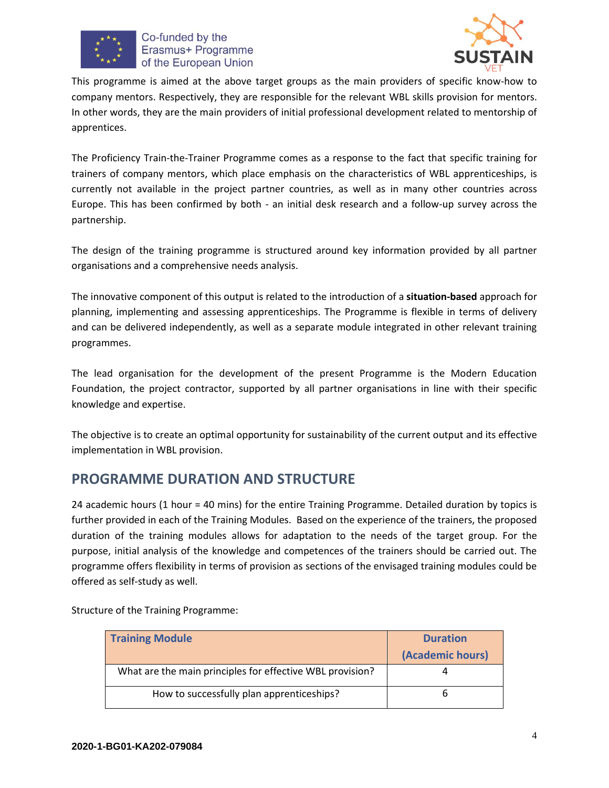



This programme is aimed at the above target groups as the main providers of specific know-how to company mentors. Respectively, they are responsible for the relevant WBL skills provision for mentors. In other words, they are the main providers of initial professional development related to mentorship of apprentices.

The Proficiency Train-the-Trainer Programme comes as a response to the fact that specific training for trainers of company mentors, which place emphasis on the characteristics of WBL apprenticeships, is currently not available in the project partner countries, as well as in many other countries across Europe. This has been confirmed by both - an initial desk research and a follow-up survey across the partnership.

The design of the training programme is structured around key information provided by all partner organisations and a comprehensive needs analysis.

The innovative component of this output is related to the introduction of a **situation-based** approach for planning, implementing and assessing apprenticeships. The Programme is flexible in terms of delivery and can be delivered independently, as well as a separate module integrated in other relevant training programmes.

The lead organisation for the development of the present Programme is the Modern Education Foundation, the project contractor, supported by all partner organisations in line with their specific knowledge and expertise.

The objective is to create an optimal opportunity for sustainability of the current output and its effective implementation in WBL provision.

# <span id="page-3-0"></span>**PROGRAMME DURATION AND STRUCTURE**

24 academic hours (1 hour = 40 mins) for the entire Training Programme. Detailed duration by topics is further provided in each of the Training Modules. Based on the experience of the trainers, the proposed duration of the training modules allows for adaptation to the needs of the target group. For the purpose, initial analysis of the knowledge and competences of the trainers should be carried out. The programme offers flexibility in terms of provision as sections of the envisaged training modules could be offered as self-study as well.

| <b>Training Module</b>                                    | <b>Duration</b><br>(Academic hours) |
|-----------------------------------------------------------|-------------------------------------|
| What are the main principles for effective WBL provision? |                                     |
| How to successfully plan apprenticeships?                 |                                     |

Structure of the Training Programme: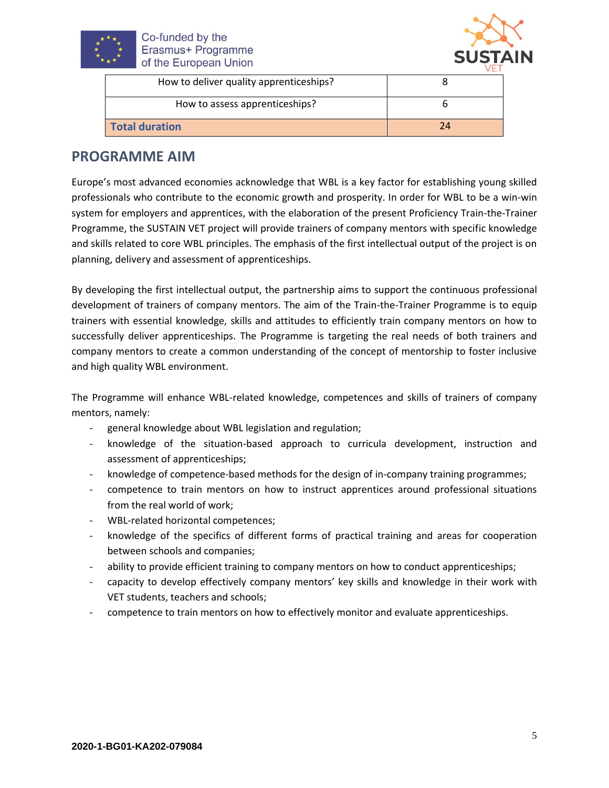



| How to deliver quality apprenticeships? |    |
|-----------------------------------------|----|
| How to assess apprenticeships?          |    |
| <b>Total duration</b>                   | 24 |

### <span id="page-4-0"></span>**PROGRAMME AIM**

Europe's most advanced economies acknowledge that WBL is a key factor for establishing young skilled professionals who contribute to the economic growth and prosperity. In order for WBL to be a win-win system for employers and apprentices, with the elaboration of the present Proficiency Train-the-Trainer Programme, the SUSTAIN VET project will provide trainers of company mentors with specific knowledge and skills related to core WBL principles. The emphasis of the first intellectual output of the project is on planning, delivery and assessment of apprenticeships.

By developing the first intellectual output, the partnership aims to support the continuous professional development of trainers of company mentors. The aim of the Train-the-Trainer Programme is to equip trainers with essential knowledge, skills and attitudes to efficiently train company mentors on how to successfully deliver apprenticeships. The Programme is targeting the real needs of both trainers and company mentors to create a common understanding of the concept of mentorship to foster inclusive and high quality WBL environment.

The Programme will enhance WBL-related knowledge, competences and skills of trainers of company mentors, namely:

- general knowledge about WBL legislation and regulation;
- knowledge of the situation-based approach to curricula development, instruction and assessment of apprenticeships;
- knowledge of competence-based methods for the design of in-company training programmes;
- competence to train mentors on how to instruct apprentices around professional situations from the real world of work;
- WBL-related horizontal competences;
- knowledge of the specifics of different forms of practical training and areas for cooperation between schools and companies;
- ability to provide efficient training to company mentors on how to conduct apprenticeships;
- capacity to develop effectively company mentors' key skills and knowledge in their work with VET students, teachers and schools;
- competence to train mentors on how to effectively monitor and evaluate apprenticeships.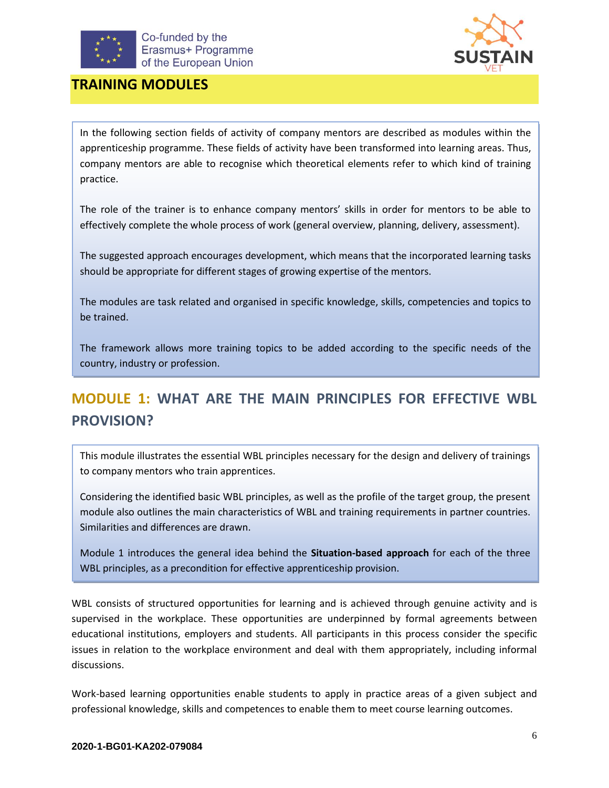



### <span id="page-5-0"></span>**TRAINING MODULES**

In the following section fields of activity of company mentors are described as modules within the apprenticeship programme. These fields of activity have been transformed into learning areas. Thus, company mentors are able to recognise which theoretical elements refer to which kind of training practice.

The role of the trainer is to enhance company mentors' skills in order for mentors to be able to effectively complete the whole process of work (general overview, planning, delivery, assessment).

The suggested approach encourages development, which means that the incorporated learning tasks should be appropriate for different stages of growing expertise of the mentors.

The modules are task related and organised in specific knowledge, skills, competencies and topics to be trained.

The framework allows more training topics to be added according to the specific needs of the country, industry or profession.

# <span id="page-5-1"></span>**MODULE 1: WHAT ARE THE MAIN PRINCIPLES FOR EFFECTIVE WBL PROVISION?**

This module illustrates the essential WBL principles necessary for the design and delivery of trainings to company mentors who train apprentices.

Considering the identified basic WBL principles, as well as the profile of the target group, the present module also outlines the main characteristics of WBL and training requirements in partner countries. Similarities and differences are drawn.

Module 1 introduces the general idea behind the **Situation-based approach** for each of the three WBL principles, as a precondition for effective apprenticeship provision.

WBL consists of structured opportunities for learning and is achieved through genuine activity and is supervised in the workplace. These opportunities are underpinned by formal agreements between educational institutions, employers and students. All participants in this process consider the specific issues in relation to the workplace environment and deal with them appropriately, including informal discussions.

Work-based learning opportunities enable students to apply in practice areas of a given subject and professional knowledge, skills and competences to enable them to meet course learning outcomes.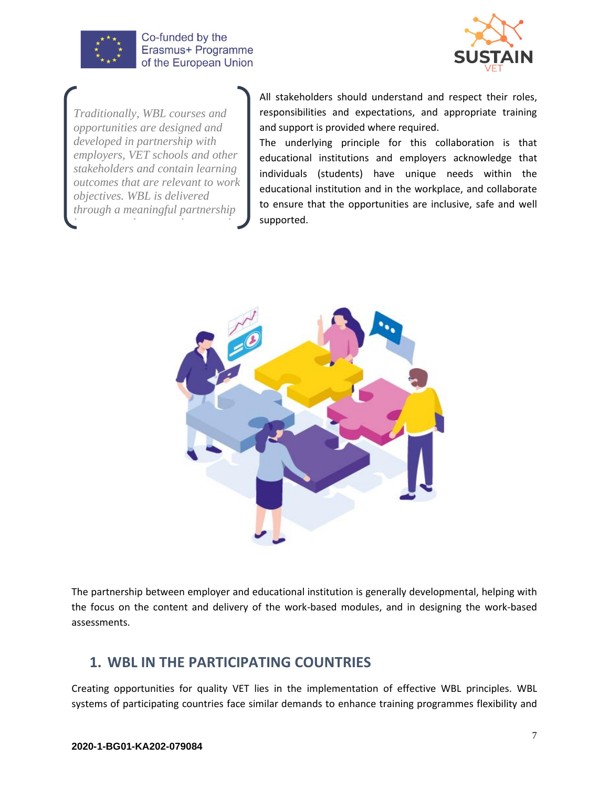



*Traditionally, WBL courses and opportunities are designed and developed in partnership with employers, VET schools and other stakeholders and contain learning outcomes that are relevant to work objectives. WBL is delivered through a meaningful partnership between students, employers and* 

All stakeholders should understand and respect their roles, responsibilities and expectations, and appropriate training and support is provided where required.

The underlying principle for this collaboration is that educational institutions and employers acknowledge that individuals (students) have unique needs within the educational institution and in the workplace, and collaborate to ensure that the opportunities are inclusive, safe and well supported.



The partnership between employer and educational institution is generally developmental, helping with the focus on the content and delivery of the work-based modules, and in designing the work-based assessments.

## <span id="page-6-0"></span>**1. WBL IN THE PARTICIPATING COUNTRIES**

Creating opportunities for quality VET lies in the implementation of effective WBL principles. WBL systems of participating countries face similar demands to enhance training programmes flexibility and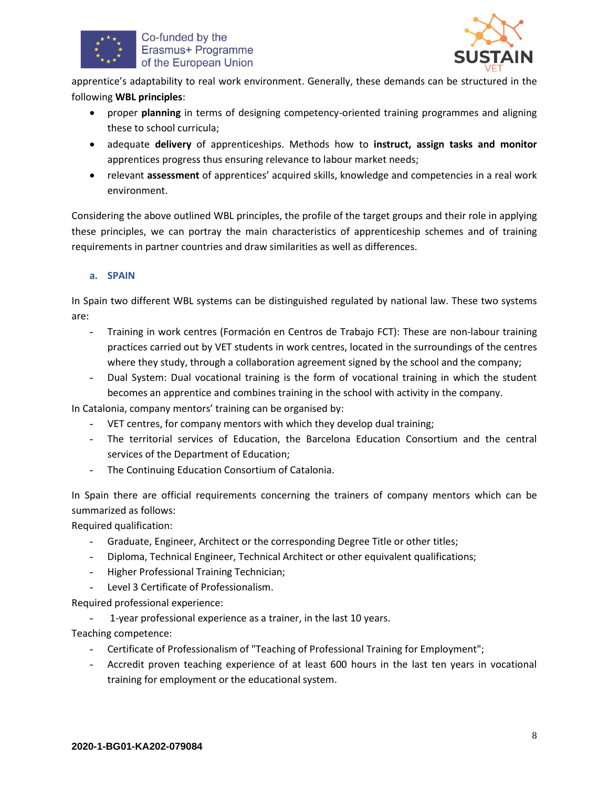



apprentice's adaptability to real work environment. Generally, these demands can be structured in the following **WBL principles**:

- proper **planning** in terms of designing competency-oriented training programmes and aligning these to school curricula;
- adequate **delivery** of apprenticeships. Methods how to **instruct, assign tasks and monitor** apprentices progress thus ensuring relevance to labour market needs;
- relevant **assessment** of apprentices' acquired skills, knowledge and competencies in a real work environment.

Considering the above outlined WBL principles, the profile of the target groups and their role in applying these principles, we can portray the main characteristics of apprenticeship schemes and of training requirements in partner countries and draw similarities as well as differences.

#### **a. SPAIN**

In Spain two different WBL systems can be distinguished regulated by national law. These two systems are:

- Training in work centres (Formación en Centros de Trabajo FCT): These are non-labour training practices carried out by VET students in work centres, located in the surroundings of the centres where they study, through a collaboration agreement signed by the school and the company;
- Dual System: Dual vocational training is the form of vocational training in which the student becomes an apprentice and combines training in the school with activity in the company.

In Catalonia, company mentors' training can be organised by:

- VET centres, for company mentors with which they develop dual training;
- The territorial services of Education, the Barcelona Education Consortium and the central services of the Department of Education;
- The Continuing Education Consortium of Catalonia.

In Spain there are official requirements concerning the trainers of company mentors which can be summarized as follows:

Required qualification:

- Graduate, Engineer, Architect or the corresponding Degree Title or other titles;
- Diploma, Technical Engineer, Technical Architect or other equivalent qualifications;
- Higher Professional Training Technician;
- Level 3 Certificate of Professionalism.

Required professional experience:

1-year professional experience as a trainer, in the last 10 years.

Teaching competence:

- Certificate of Professionalism of "Teaching of Professional Training for Employment";
- Accredit proven teaching experience of at least 600 hours in the last ten years in vocational training for employment or the educational system.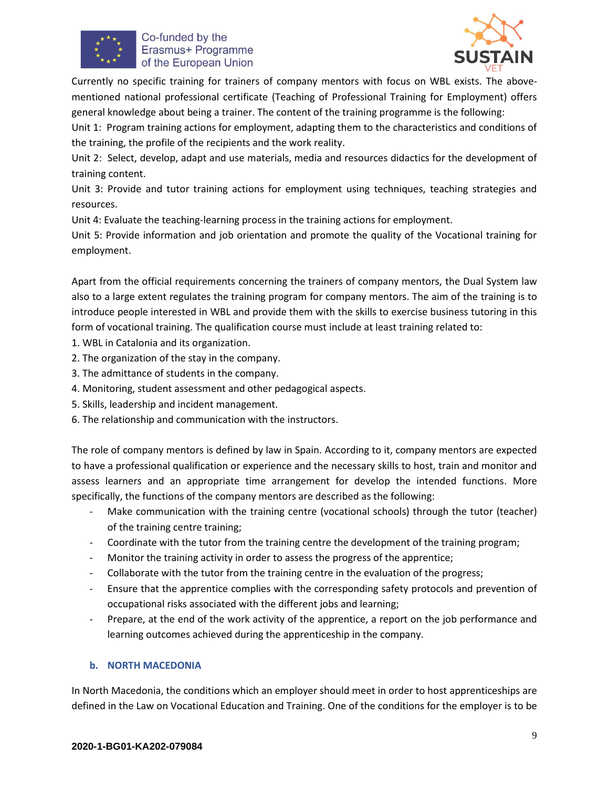



Currently no specific training for trainers of company mentors with focus on WBL exists. The abovementioned national professional certificate (Teaching of Professional Training for Employment) offers general knowledge about being a trainer. The content of the training programme is the following:

Unit 1: Program training actions for employment, adapting them to the characteristics and conditions of the training, the profile of the recipients and the work reality.

Unit 2: Select, develop, adapt and use materials, media and resources didactics for the development of training content.

Unit 3: Provide and tutor training actions for employment using techniques, teaching strategies and resources.

Unit 4: Evaluate the teaching-learning process in the training actions for employment.

Unit 5: Provide information and job orientation and promote the quality of the Vocational training for employment.

Apart from the official requirements concerning the trainers of company mentors, the Dual System law also to a large extent regulates the training program for company mentors. The aim of the training is to introduce people interested in WBL and provide them with the skills to exercise business tutoring in this form of vocational training. The qualification course must include at least training related to:

- 1. WBL in Catalonia and its organization.
- 2. The organization of the stay in the company.
- 3. The admittance of students in the company.
- 4. Monitoring, student assessment and other pedagogical aspects.
- 5. Skills, leadership and incident management.
- 6. The relationship and communication with the instructors.

The role of company mentors is defined by law in Spain. According to it, company mentors are expected to have a professional qualification or experience and the necessary skills to host, train and monitor and assess learners and an appropriate time arrangement for develop the intended functions. More specifically, the functions of the company mentors are described as the following:

- Make communication with the training centre (vocational schools) through the tutor (teacher) of the training centre training;
- Coordinate with the tutor from the training centre the development of the training program;
- Monitor the training activity in order to assess the progress of the apprentice;
- Collaborate with the tutor from the training centre in the evaluation of the progress;
- Ensure that the apprentice complies with the corresponding safety protocols and prevention of occupational risks associated with the different jobs and learning;
- Prepare, at the end of the work activity of the apprentice, a report on the job performance and learning outcomes achieved during the apprenticeship in the company.

#### **b. NORTH MACEDONIA**

In North Macedonia, the conditions which an employer should meet in order to host apprenticeships are defined in the Law on Vocational Education and Training. One of the conditions for the employer is to be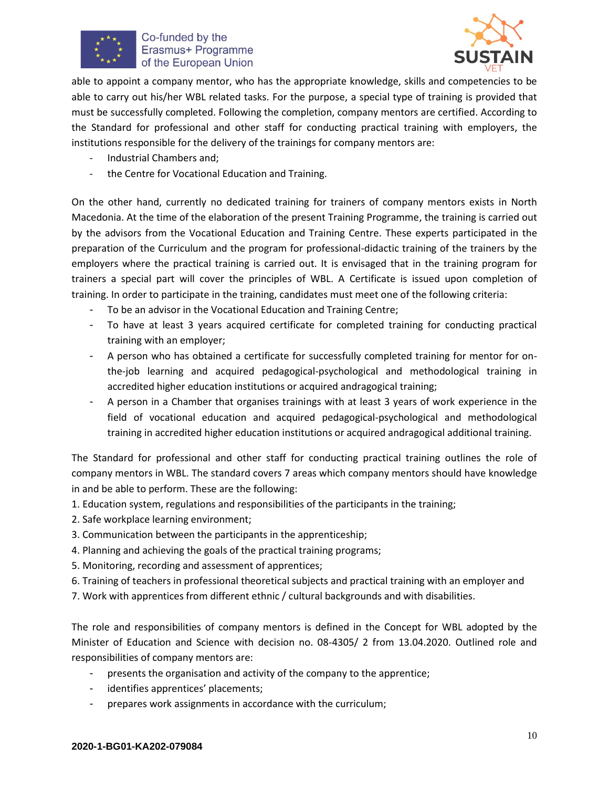



able to appoint a company mentor, who has the appropriate knowledge, skills and competencies to be able to carry out his/her WBL related tasks. For the purpose, a special type of training is provided that must be successfully completed. Following the completion, company mentors are certified. According to the Standard for professional and other staff for conducting practical training with employers, the institutions responsible for the delivery of the trainings for company mentors are:

- Industrial Chambers and;
- the Centre for Vocational Education and Training.

On the other hand, currently no dedicated training for trainers of company mentors exists in North Macedonia. At the time of the elaboration of the present Training Programme, the training is carried out by the advisors from the Vocational Education and Training Centre. These experts participated in the preparation of the Curriculum and the program for professional-didactic training of the trainers by the employers where the practical training is carried out. It is envisaged that in the training program for trainers a special part will cover the principles of WBL. A Certificate is issued upon completion of training. In order to participate in the training, candidates must meet one of the following criteria:

- To be an advisor in the Vocational Education and Training Centre;
- To have at least 3 years acquired certificate for completed training for conducting practical training with an employer;
- A person who has obtained a certificate for successfully completed training for mentor for onthe-job learning and acquired pedagogical-psychological and methodological training in accredited higher education institutions or acquired andragogical training;
- A person in a Chamber that organises trainings with at least 3 years of work experience in the field of vocational education and acquired pedagogical-psychological and methodological training in accredited higher education institutions or acquired andragogical additional training.

The Standard for professional and other staff for conducting practical training outlines the role of company mentors in WBL. The standard covers 7 areas which company mentors should have knowledge in and be able to perform. These are the following:

- 1. Education system, regulations and responsibilities of the participants in the training;
- 2. Safe workplace learning environment;
- 3. Communication between the participants in the apprenticeship;
- 4. Planning and achieving the goals of the practical training programs;
- 5. Monitoring, recording and assessment of apprentices;
- 6. Training of teachers in professional theoretical subjects and practical training with an employer and
- 7. Work with apprentices from different ethnic / cultural backgrounds and with disabilities.

The role and responsibilities of company mentors is defined in the Concept for WBL adopted by the Minister of Education and Science with decision no. 08-4305/ 2 from 13.04.2020. Outlined role and responsibilities of company mentors are:

- presents the organisation and activity of the company to the apprentice;
- identifies apprentices' placements;
- prepares work assignments in accordance with the curriculum;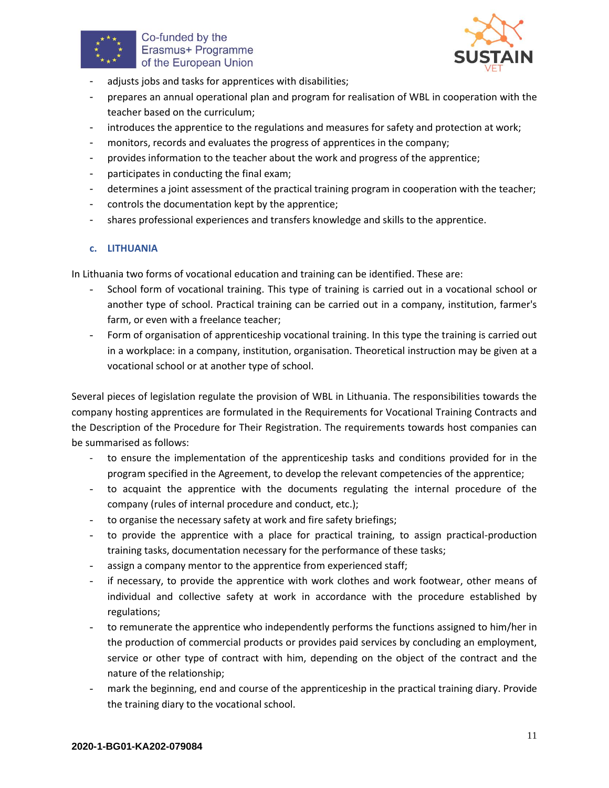



- adjusts jobs and tasks for apprentices with disabilities;
- prepares an annual operational plan and program for realisation of WBL in cooperation with the teacher based on the curriculum;
- introduces the apprentice to the regulations and measures for safety and protection at work;
- monitors, records and evaluates the progress of apprentices in the company;
- provides information to the teacher about the work and progress of the apprentice;
- participates in conducting the final exam;
- determines a joint assessment of the practical training program in cooperation with the teacher;
- controls the documentation kept by the apprentice;
- shares professional experiences and transfers knowledge and skills to the apprentice.

#### **c. LITHUANIA**

In Lithuania two forms of vocational education and training can be identified. These are:

- School form of vocational training. This type of training is carried out in a vocational school or another type of school. Practical training can be carried out in a company, institution, farmer's farm, or even with a freelance teacher;
- Form of organisation of apprenticeship vocational training. In this type the training is carried out in a workplace: in a company, institution, organisation. Theoretical instruction may be given at a vocational school or at another type of school.

Several pieces of legislation regulate the provision of WBL in Lithuania. The responsibilities towards the company hosting apprentices are formulated in the Requirements for Vocational Training Contracts and the Description of the Procedure for Their Registration. The requirements towards host companies can be summarised as follows:

- to ensure the implementation of the apprenticeship tasks and conditions provided for in the program specified in the Agreement, to develop the relevant competencies of the apprentice;
- to acquaint the apprentice with the documents regulating the internal procedure of the company (rules of internal procedure and conduct, etc.);
- to organise the necessary safety at work and fire safety briefings;
- to provide the apprentice with a place for practical training, to assign practical-production training tasks, documentation necessary for the performance of these tasks;
- assign a company mentor to the apprentice from experienced staff;
- if necessary, to provide the apprentice with work clothes and work footwear, other means of individual and collective safety at work in accordance with the procedure established by regulations;
- to remunerate the apprentice who independently performs the functions assigned to him/her in the production of commercial products or provides paid services by concluding an employment, service or other type of contract with him, depending on the object of the contract and the nature of the relationship;
- mark the beginning, end and course of the apprenticeship in the practical training diary. Provide the training diary to the vocational school.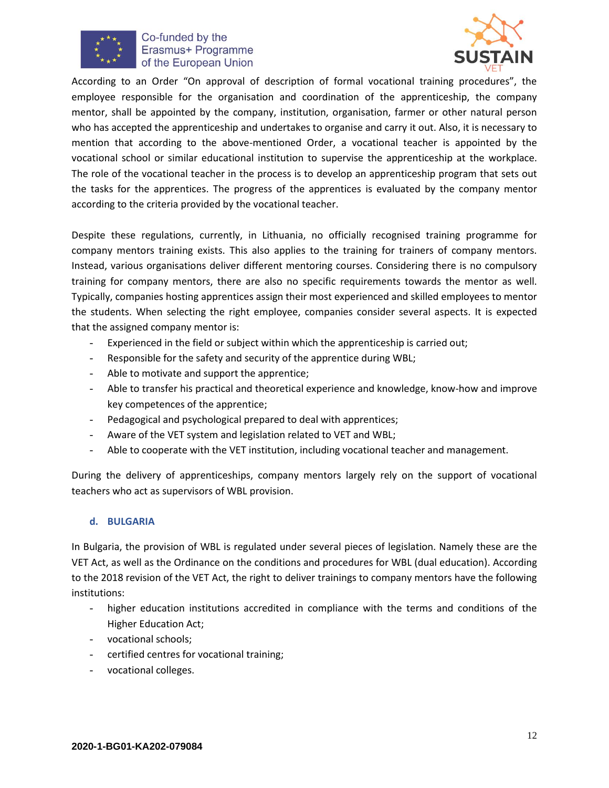



According to an Order "On approval of description of formal vocational training procedures", the employee responsible for the organisation and coordination of the apprenticeship, the company mentor, shall be appointed by the company, institution, organisation, farmer or other natural person who has accepted the apprenticeship and undertakes to organise and carry it out. Also, it is necessary to mention that according to the above-mentioned Order, a vocational teacher is appointed by the vocational school or similar educational institution to supervise the apprenticeship at the workplace. The role of the vocational teacher in the process is to develop an apprenticeship program that sets out the tasks for the apprentices. The progress of the apprentices is evaluated by the company mentor according to the criteria provided by the vocational teacher.

Despite these regulations, currently, in Lithuania, no officially recognised training programme for company mentors training exists. This also applies to the training for trainers of company mentors. Instead, various organisations deliver different mentoring courses. Considering there is no compulsory training for company mentors, there are also no specific requirements towards the mentor as well. Typically, companies hosting apprentices assign their most experienced and skilled employees to mentor the students. When selecting the right employee, companies consider several aspects. It is expected that the assigned company mentor is:

- Experienced in the field or subject within which the apprenticeship is carried out;
- Responsible for the safety and security of the apprentice during WBL;
- Able to motivate and support the apprentice;
- Able to transfer his practical and theoretical experience and knowledge, know-how and improve key competences of the apprentice;
- Pedagogical and psychological prepared to deal with apprentices;
- Aware of the VET system and legislation related to VET and WBL;
- Able to cooperate with the VET institution, including vocational teacher and management.

During the delivery of apprenticeships, company mentors largely rely on the support of vocational teachers who act as supervisors of WBL provision.

#### **d. BULGARIA**

In Bulgaria, the provision of WBL is regulated under several pieces of legislation. Namely these are the VET Act, as well as the Ordinance on the conditions and procedures for WBL (dual education). According to the 2018 revision of the VET Act, the right to deliver trainings to company mentors have the following institutions:

- higher education institutions accredited in compliance with the terms and conditions of the Higher Education Act;
- vocational schools;
- certified centres for vocational training;
- vocational colleges.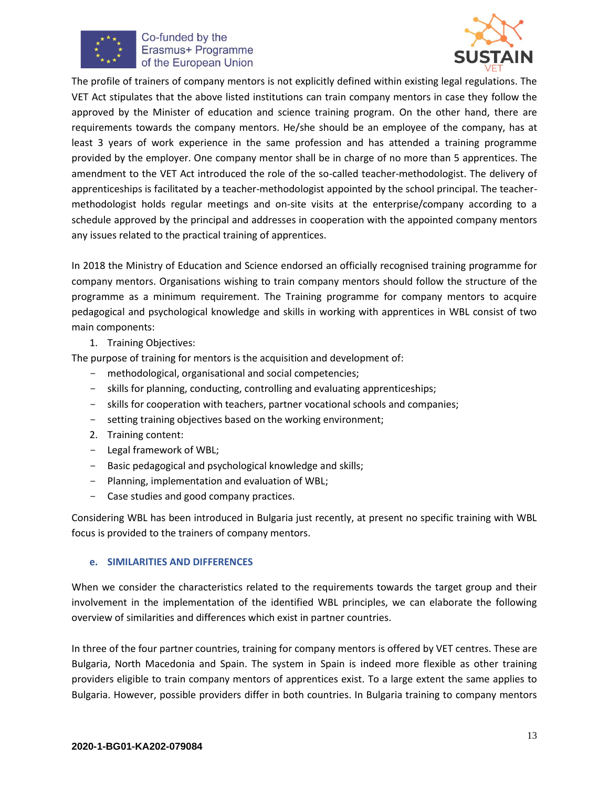



The profile of trainers of company mentors is not explicitly defined within existing legal regulations. The VET Act stipulates that the above listed institutions can train company mentors in case they follow the approved by the Minister of education and science training program. On the other hand, there are requirements towards the company mentors. He/she should be an employee of the company, has at least 3 years of work experience in the same profession and has attended a training programme provided by the employer. One company mentor shall be in charge of no more than 5 apprentices. The amendment to the VET Act introduced the role of the so-called teacher-methodologist. The delivery of apprenticeships is facilitated by a teacher-methodologist appointed by the school principal. The teachermethodologist holds regular meetings and on-site visits at the enterprise/company according to a schedule approved by the principal and addresses in cooperation with the appointed company mentors any issues related to the practical training of apprentices.

In 2018 the Ministry of Education and Science endorsed an officially recognised training programme for company mentors. Organisations wishing to train company mentors should follow the structure of the programme as a minimum requirement. The Training programme for company mentors to acquire pedagogical and psychological knowledge and skills in working with apprentices in WBL consist of two main components:

1. Training Objectives:

The purpose of training for mentors is the acquisition and development of:

- methodological, organisational and social competencies;
- skills for planning, conducting, controlling and evaluating apprenticeships;
- skills for cooperation with teachers, partner vocational schools and companies;
- setting training objectives based on the working environment;
- 2. Training content:
- Legal framework of WBL;
- Basic pedagogical and psychological knowledge and skills;
- Planning, implementation and evaluation of WBL;
- Case studies and good company practices.

Considering WBL has been introduced in Bulgaria just recently, at present no specific training with WBL focus is provided to the trainers of company mentors.

#### **e. SIMILARITIES AND DIFFERENCES**

When we consider the characteristics related to the requirements towards the target group and their involvement in the implementation of the identified WBL principles, we can elaborate the following overview of similarities and differences which exist in partner countries.

In three of the four partner countries, training for company mentors is offered by VET centres. These are Bulgaria, North Macedonia and Spain. The system in Spain is indeed more flexible as other training providers eligible to train company mentors of apprentices exist. To a large extent the same applies to Bulgaria. However, possible providers differ in both countries. In Bulgaria training to company mentors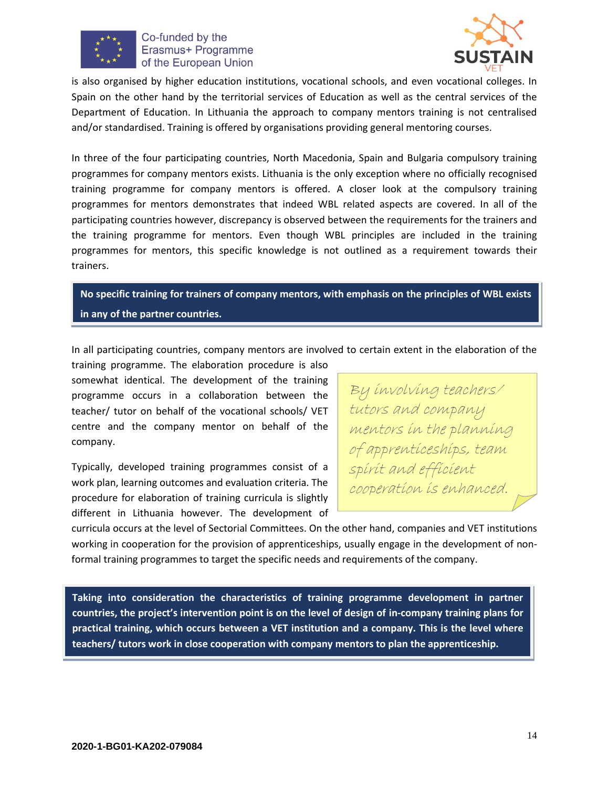



is also organised by higher education institutions, vocational schools, and even vocational colleges. In Spain on the other hand by the territorial services of Education as well as the central services of the Department of Education. In Lithuania the approach to company mentors training is not centralised and/or standardised. Training is offered by organisations providing general mentoring courses.

In three of the four participating countries, North Macedonia, Spain and Bulgaria compulsory training programmes for company mentors exists. Lithuania is the only exception where no officially recognised training programme for company mentors is offered. A closer look at the compulsory training programmes for mentors demonstrates that indeed WBL related aspects are covered. In all of the participating countries however, discrepancy is observed between the requirements for the trainers and the training programme for mentors. Even though WBL principles are included in the training programmes for mentors, this specific knowledge is not outlined as a requirement towards their trainers.

**No specific training for trainers of company mentors, with emphasis on the principles of WBL exists in any of the partner countries.**

In all participating countries, company mentors are involved to certain extent in the elaboration of the

training programme. The elaboration procedure is also somewhat identical. The development of the training programme occurs in a collaboration between the teacher/ tutor on behalf of the vocational schools/ VET centre and the company mentor on behalf of the company.

Typically, developed training programmes consist of a work plan, learning outcomes and evaluation criteria. The procedure for elaboration of training curricula is slightly different in Lithuania however. The development of

By involving teachers/ tutors and company mentors in the planning of apprenticeships, team spirit and efficient cooperation is enhanced.

curricula occurs at the level of Sectorial Committees. On the other hand, companies and VET institutions working in cooperation for the provision of apprenticeships, usually engage in the development of nonformal training programmes to target the specific needs and requirements of the company.

**Taking into consideration the characteristics of training programme development in partner countries, the project's intervention point is on the level of design of in-company training plans for practical training, which occurs between a VET institution and a company. This is the level where teachers/ tutors work in close cooperation with company mentors to plan the apprenticeship.**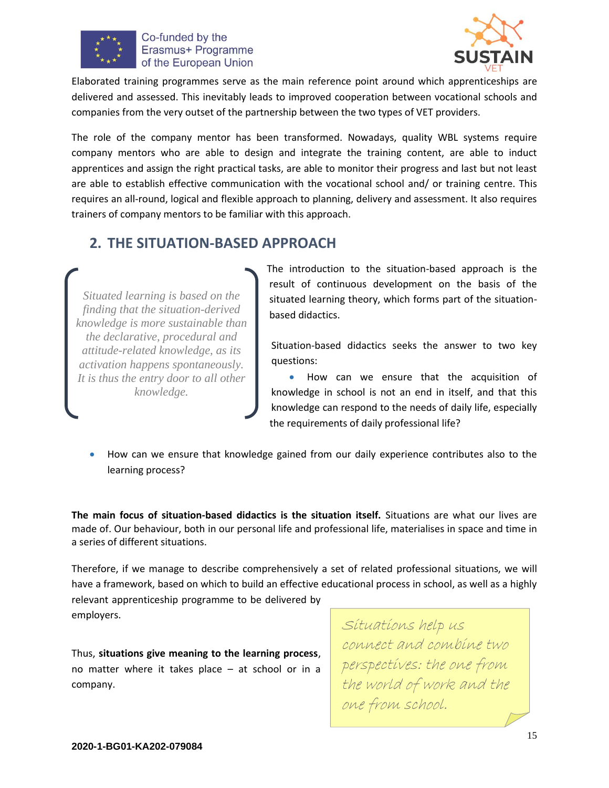



Elaborated training programmes serve as the main reference point around which apprenticeships are delivered and assessed. This inevitably leads to improved cooperation between vocational schools and companies from the very outset of the partnership between the two types of VET providers.

The role of the company mentor has been transformed. Nowadays, quality WBL systems require company mentors who are able to design and integrate the training content, are able to induct apprentices and assign the right practical tasks, are able to monitor their progress and last but not least are able to establish effective communication with the vocational school and/ or training centre. This requires an all-round, logical and flexible approach to planning, delivery and assessment. It also requires trainers of company mentors to be familiar with this approach.

# <span id="page-14-0"></span>**2. THE SITUATION-BASED APPROACH**

*Situated learning is based on the finding that the situation-derived knowledge is more sustainable than the declarative, procedural and attitude-related knowledge, as its activation happens spontaneously. It is thus the entry door to all other knowledge.*

The introduction to the situation-based approach is the result of continuous development on the basis of the situated learning theory, which forms part of the situationbased didactics.

Situation-based didactics seeks the answer to two key questions:

• How can we ensure that the acquisition of knowledge in school is not an end in itself, and that this knowledge can respond to the needs of daily life, especially the requirements of daily professional life?

• How can we ensure that knowledge gained from our daily experience contributes also to the learning process?

**The main focus of situation-based didactics is the situation itself.** Situations are what our lives are made of. Our behaviour, both in our personal life and professional life, materialises in space and time in a series of different situations.

Therefore, if we manage to describe comprehensively a set of related professional situations, we will have a framework, based on which to build an effective educational process in school, as well as a highly relevant apprenticeship programme to be delivered by employers.

Thus, **situations give meaning to the learning process**, no matter where it takes place – at school or in a company.

Situations help us connect and combine two perspectives: the one from the world of work and the one from school.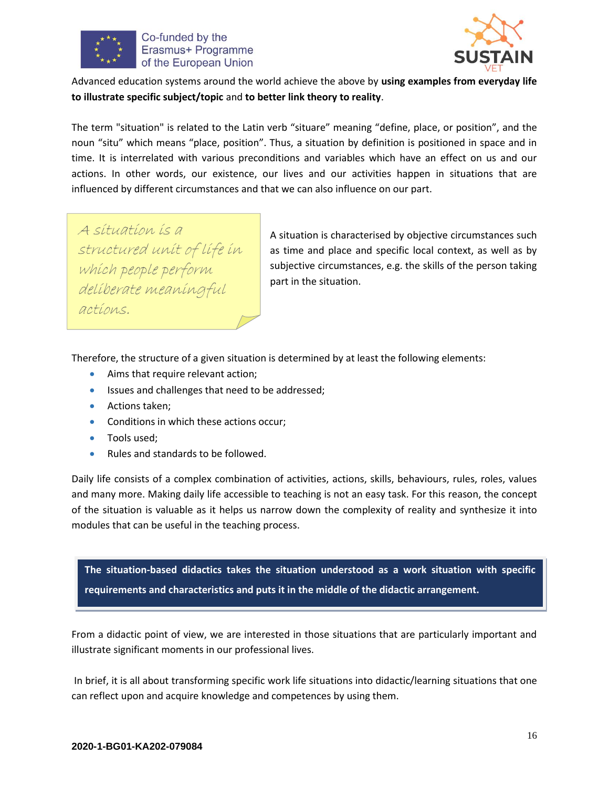



Advanced education systems around the world achieve the above by **using examples from everyday life to illustrate specific subject/topic** and **to better link theory to reality**.

The term "situation" is related to the Latin verb "situare" meaning "define, place, or position", and the noun "situ" which means "place, position". Thus, a situation by definition is positioned in space and in time. It is interrelated with various preconditions and variables which have an effect on us and our actions. In other words, our existence, our lives and our activities happen in situations that are influenced by different circumstances and that we can also influence on our part.

A situation is a structured unit of life in which people perform deliberate meaningful actions.

A situation is characterised by objective circumstances such as time and place and specific local context, as well as by subjective circumstances, e.g. the skills of the person taking part in the situation.

Therefore, the structure of a given situation is determined by at least the following elements:

- Aims that require relevant action;
- Issues and challenges that need to be addressed;
- Actions taken;
- Conditions in which these actions occur;
- Tools used;
- Rules and standards to be followed.

Daily life consists of a complex combination of activities, actions, skills, behaviours, rules, roles, values and many more. Making daily life accessible to teaching is not an easy task. For this reason, the concept of the situation is valuable as it helps us narrow down the complexity of reality and synthesize it into modules that can be useful in the teaching process.

**The situation-based didactics takes the situation understood as a work situation with specific requirements and characteristics and puts it in the middle of the didactic arrangement.**

From a didactic point of view, we are interested in those situations that are particularly important and illustrate significant moments in our professional lives.

In brief, it is all about transforming specific work life situations into didactic/learning situations that one can reflect upon and acquire knowledge and competences by using them.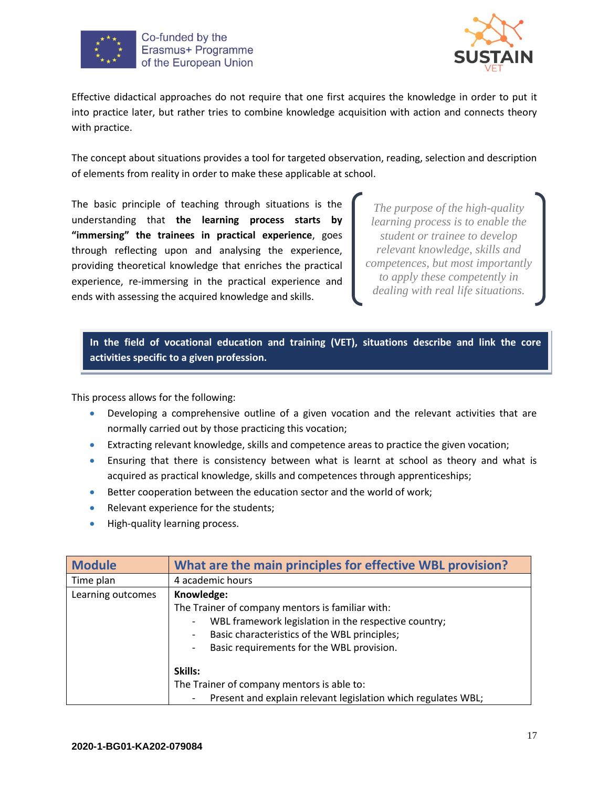



Effective didactical approaches do not require that one first acquires the knowledge in order to put it into practice later, but rather tries to combine knowledge acquisition with action and connects theory with practice.

The concept about situations provides a tool for targeted observation, reading, selection and description of elements from reality in order to make these applicable at school.

The basic principle of teaching through situations is the understanding that **the learning process starts by "immersing" the trainees in practical experience**, goes through reflecting upon and analysing the experience, providing theoretical knowledge that enriches the practical experience, re-immersing in the practical experience and ends with assessing the acquired knowledge and skills.

*The purpose of the high-quality learning process is to enable the student or trainee to develop relevant knowledge, skills and competences, but most importantly to apply these competently in dealing with real life situations.*

**In the field of vocational education and training (VET), situations describe and link the core activities specific to a given profession.**

This process allows for the following:

- Developing a comprehensive outline of a given vocation and the relevant activities that are normally carried out by those practicing this vocation;
- Extracting relevant knowledge, skills and competence areas to practice the given vocation;
- Ensuring that there is consistency between what is learnt at school as theory and what is acquired as practical knowledge, skills and competences through apprenticeships;
- Better cooperation between the education sector and the world of work;
- Relevant experience for the students;
- High-quality learning process.

| <b>Module</b>     | What are the main principles for effective WBL provision?          |
|-------------------|--------------------------------------------------------------------|
| Time plan         | 4 academic hours                                                   |
| Learning outcomes | Knowledge:                                                         |
|                   | The Trainer of company mentors is familiar with:                   |
|                   | WBL framework legislation in the respective country;<br>-          |
|                   | Basic characteristics of the WBL principles;<br>-                  |
|                   | Basic requirements for the WBL provision.                          |
|                   | Skills:                                                            |
|                   | The Trainer of company mentors is able to:                         |
|                   | Present and explain relevant legislation which regulates WBL;<br>- |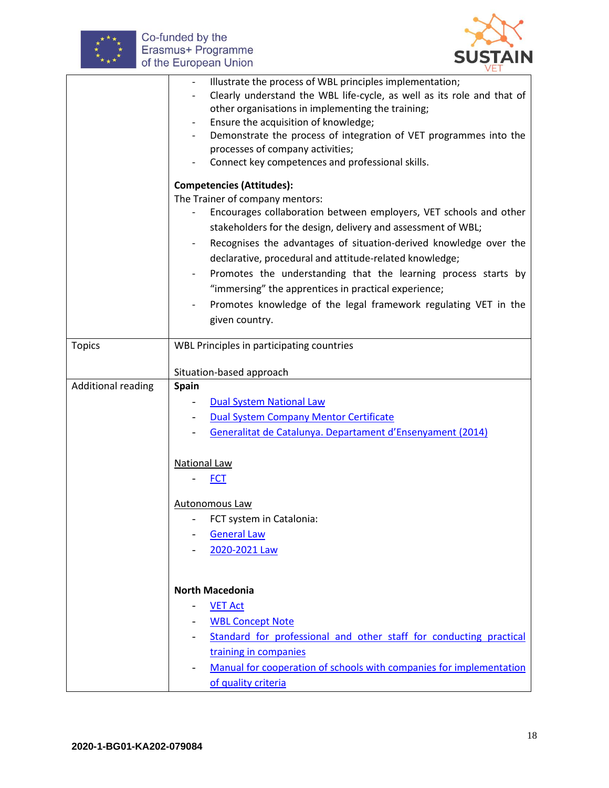



|                           | Illustrate the process of WBL principles implementation;<br>Clearly understand the WBL life-cycle, as well as its role and that of<br>other organisations in implementing the training;<br>Ensure the acquisition of knowledge;<br>Demonstrate the process of integration of VET programmes into the |
|---------------------------|------------------------------------------------------------------------------------------------------------------------------------------------------------------------------------------------------------------------------------------------------------------------------------------------------|
|                           | processes of company activities;                                                                                                                                                                                                                                                                     |
|                           | Connect key competences and professional skills.                                                                                                                                                                                                                                                     |
|                           | <b>Competencies (Attitudes):</b>                                                                                                                                                                                                                                                                     |
|                           | The Trainer of company mentors:<br>Encourages collaboration between employers, VET schools and other                                                                                                                                                                                                 |
|                           | stakeholders for the design, delivery and assessment of WBL;                                                                                                                                                                                                                                         |
|                           | Recognises the advantages of situation-derived knowledge over the                                                                                                                                                                                                                                    |
|                           | declarative, procedural and attitude-related knowledge;                                                                                                                                                                                                                                              |
|                           | Promotes the understanding that the learning process starts by<br>"immersing" the apprentices in practical experience;                                                                                                                                                                               |
|                           | Promotes knowledge of the legal framework regulating VET in the                                                                                                                                                                                                                                      |
|                           | given country.                                                                                                                                                                                                                                                                                       |
|                           |                                                                                                                                                                                                                                                                                                      |
| <b>Topics</b>             | WBL Principles in participating countries                                                                                                                                                                                                                                                            |
|                           | Situation-based approach                                                                                                                                                                                                                                                                             |
| <b>Additional reading</b> | <b>Spain</b>                                                                                                                                                                                                                                                                                         |
|                           | <b>Dual System National Law</b>                                                                                                                                                                                                                                                                      |
|                           | <b>Dual System Company Mentor Certificate</b>                                                                                                                                                                                                                                                        |
|                           | Generalitat de Catalunya. Departament d'Ensenyament (2014)                                                                                                                                                                                                                                           |
|                           |                                                                                                                                                                                                                                                                                                      |
|                           | National Law                                                                                                                                                                                                                                                                                         |
|                           | <b>FCT</b>                                                                                                                                                                                                                                                                                           |
|                           | Autonomous Law                                                                                                                                                                                                                                                                                       |
|                           | FCT system in Catalonia:                                                                                                                                                                                                                                                                             |
|                           | <b>General Law</b>                                                                                                                                                                                                                                                                                   |
|                           | 2020-2021 Law                                                                                                                                                                                                                                                                                        |
|                           |                                                                                                                                                                                                                                                                                                      |
|                           | <b>North Macedonia</b>                                                                                                                                                                                                                                                                               |
|                           | <b>VET Act</b>                                                                                                                                                                                                                                                                                       |
|                           | <b>WBL Concept Note</b>                                                                                                                                                                                                                                                                              |
|                           | Standard for professional and other staff for conducting practical                                                                                                                                                                                                                                   |
|                           | training in companies                                                                                                                                                                                                                                                                                |
|                           | Manual for cooperation of schools with companies for implementation                                                                                                                                                                                                                                  |
|                           | of quality criteria                                                                                                                                                                                                                                                                                  |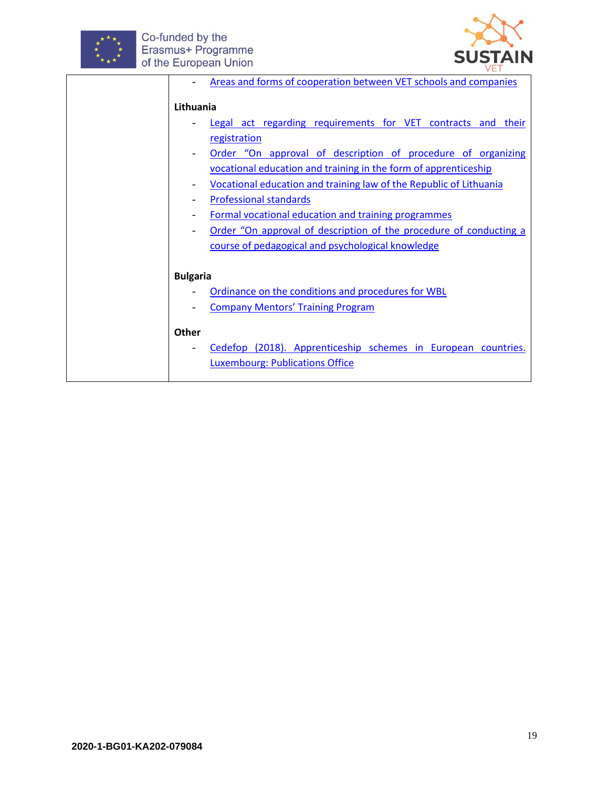



|                          | Areas and forms of cooperation between VET schools and companies   |
|--------------------------|--------------------------------------------------------------------|
| Lithuania                |                                                                    |
|                          | Legal act regarding requirements for VET contracts and their       |
|                          | registration                                                       |
|                          | Order "On approval of description of procedure of organizing       |
|                          | vocational education and training in the form of apprenticeship    |
|                          | Vocational education and training law of the Republic of Lithuania |
|                          | <b>Professional standards</b>                                      |
|                          | Formal vocational education and training programmes                |
| $\overline{\phantom{a}}$ | Order "On approval of description of the procedure of conducting a |
|                          | course of pedagogical and psychological knowledge                  |
|                          |                                                                    |
| <b>Bulgaria</b>          |                                                                    |
|                          | Ordinance on the conditions and procedures for WBL                 |
|                          | <b>Company Mentors' Training Program</b>                           |
|                          |                                                                    |
| Other                    |                                                                    |
|                          | Cedefop (2018). Apprenticeship schemes in European countries.      |
|                          | <b>Luxembourg: Publications Office</b>                             |
|                          |                                                                    |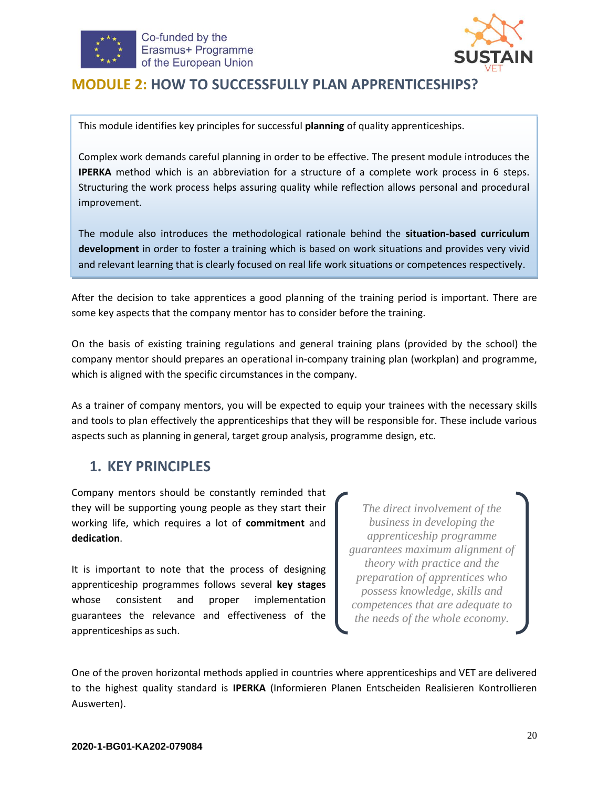



### <span id="page-19-0"></span>**MODULE 2: HOW TO SUCCESSFULLY PLAN APPRENTICESHIPS?**

This module identifies key principles for successful **planning** of quality apprenticeships.

Complex work demands careful planning in order to be effective. The present module introduces the **IPERKA** method which is an abbreviation for a structure of a complete work process in 6 steps. Structuring the work process helps assuring quality while reflection allows personal and procedural improvement.

The module also introduces the methodological rationale behind the **situation-based curriculum development** in order to foster a training which is based on work situations and provides very vivid and relevant learning that is clearly focused on real life work situations or competences respectively.

After the decision to take apprentices a good planning of the training period is important. There are some key aspects that the company mentor has to consider before the training.

On the basis of existing training regulations and general training plans (provided by the school) the company mentor should prepares an operational in-company training plan (workplan) and programme, which is aligned with the specific circumstances in the company.

As a trainer of company mentors, you will be expected to equip your trainees with the necessary skills and tools to plan effectively the apprenticeships that they will be responsible for. These include various aspects such as planning in general, target group analysis, programme design, etc.

### <span id="page-19-1"></span>**1. KEY PRINCIPLES**

Company mentors should be constantly reminded that they will be supporting young people as they start their working life, which requires a lot of **commitment** and **dedication**.

It is important to note that the process of designing apprenticeship programmes follows several **key stages** whose consistent and proper implementation guarantees the relevance and effectiveness of the apprenticeships as such.

*The direct involvement of the business in developing the apprenticeship programme guarantees maximum alignment of theory with practice and the preparation of apprentices who possess knowledge, skills and competences that are adequate to the needs of the whole economy.*

One of the proven horizontal methods applied in countries where apprenticeships and VET are delivered to the highest quality standard is **IPERKA** (Informieren Planen Entscheiden Realisieren Kontrollieren Auswerten).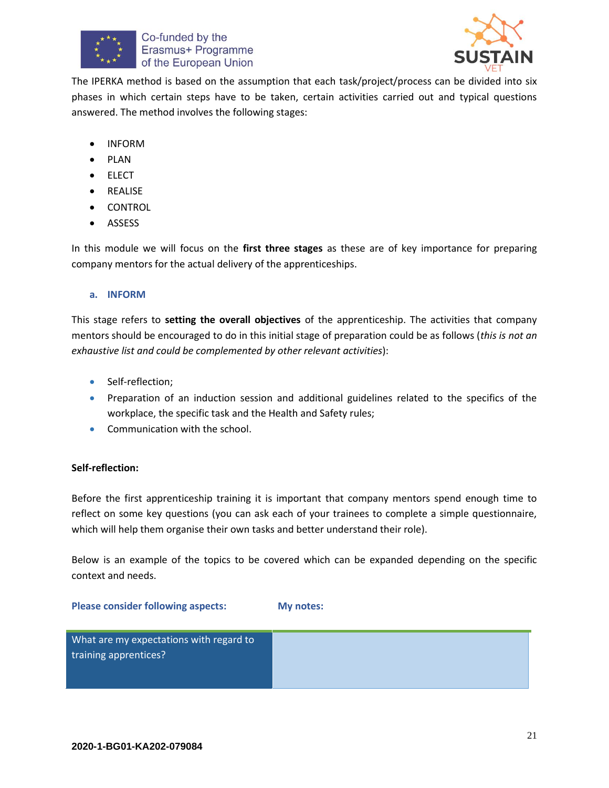



The IPERKA method is based on the assumption that each task/project/process can be divided into six phases in which certain steps have to be taken, certain activities carried out and typical questions answered. The method involves the following stages:

- INFORM
- PLAN
- ELECT
- REALISE
- **CONTROL**
- ASSESS

In this module we will focus on the **first three stages** as these are of key importance for preparing company mentors for the actual delivery of the apprenticeships.

#### **a. INFORM**

This stage refers to **setting the overall objectives** of the apprenticeship. The activities that company mentors should be encouraged to do in this initial stage of preparation could be as follows (*this is not an exhaustive list and could be complemented by other relevant activities*):

- Self-reflection;
- Preparation of an induction session and additional guidelines related to the specifics of the workplace, the specific task and the Health and Safety rules;
- Communication with the school.

#### **Self-reflection:**

Before the first apprenticeship training it is important that company mentors spend enough time to reflect on some key questions (you can ask each of your trainees to complete a simple questionnaire, which will help them organise their own tasks and better understand their role).

Below is an example of the topics to be covered which can be expanded depending on the specific context and needs.

#### **Please consider following aspects: My notes:**

| What are my expectations with regard to<br>training apprentices? |
|------------------------------------------------------------------|
|                                                                  |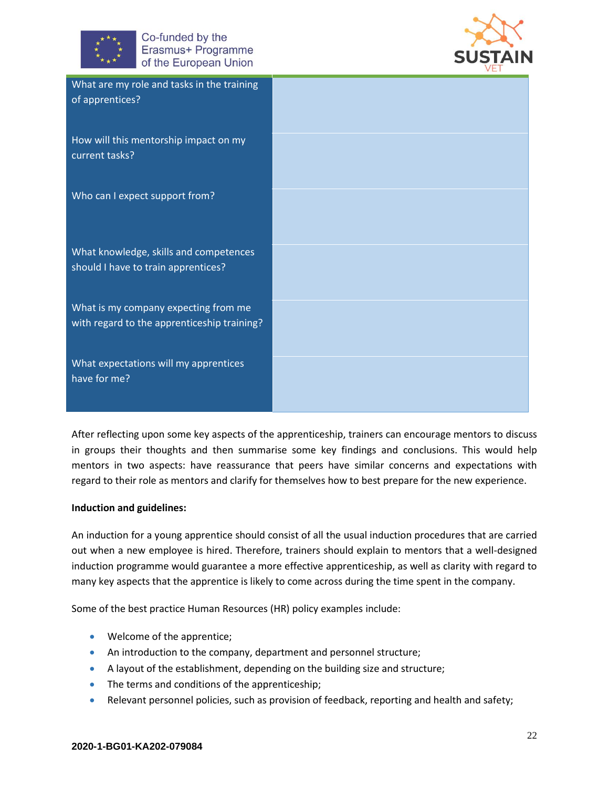



| What are my role and tasks in the training<br>of apprentices?                       |  |
|-------------------------------------------------------------------------------------|--|
| How will this mentorship impact on my<br>current tasks?                             |  |
| Who can I expect support from?                                                      |  |
| What knowledge, skills and competences<br>should I have to train apprentices?       |  |
| What is my company expecting from me<br>with regard to the apprenticeship training? |  |
| What expectations will my apprentices<br>have for me?                               |  |

After reflecting upon some key aspects of the apprenticeship, trainers can encourage mentors to discuss in groups their thoughts and then summarise some key findings and conclusions. This would help mentors in two aspects: have reassurance that peers have similar concerns and expectations with regard to their role as mentors and clarify for themselves how to best prepare for the new experience.

#### **Induction and guidelines:**

An induction for a young apprentice should consist of all the usual induction procedures that are carried out when a new employee is hired. Therefore, trainers should explain to mentors that a well-designed induction programme would guarantee a more effective apprenticeship, as well as clarity with regard to many key aspects that the apprentice is likely to come across during the time spent in the company.

Some of the best practice Human Resources (HR) policy examples include:

- Welcome of the apprentice;
- An introduction to the company, department and personnel structure;
- A layout of the establishment, depending on the building size and structure;
- The terms and conditions of the apprenticeship;
- Relevant personnel policies, such as provision of feedback, reporting and health and safety;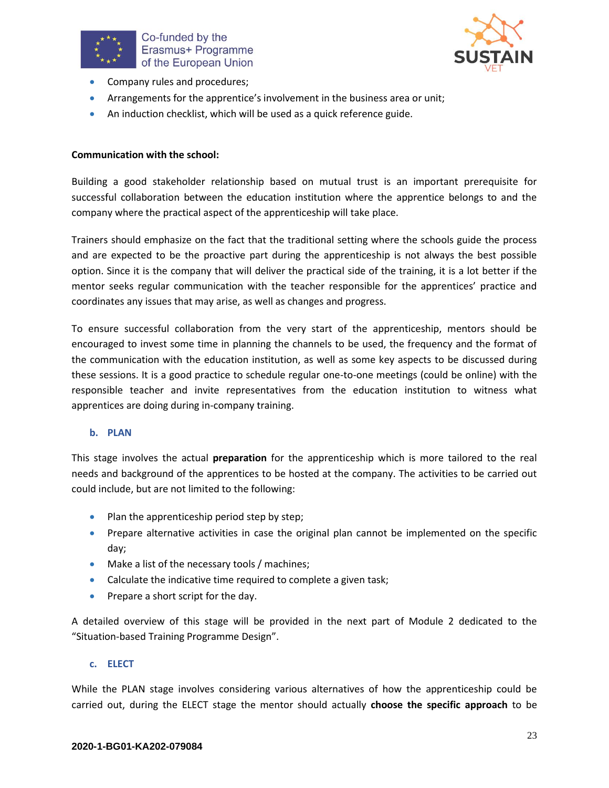



- Company rules and procedures;
- Arrangements for the apprentice's involvement in the business area or unit;
- An induction checklist, which will be used as a quick reference guide.

#### **Communication with the school:**

Building a good stakeholder relationship based on mutual trust is an important prerequisite for successful collaboration between the education institution where the apprentice belongs to and the company where the practical aspect of the apprenticeship will take place.

Trainers should emphasize on the fact that the traditional setting where the schools guide the process and are expected to be the proactive part during the apprenticeship is not always the best possible option. Since it is the company that will deliver the practical side of the training, it is a lot better if the mentor seeks regular communication with the teacher responsible for the apprentices' practice and coordinates any issues that may arise, as well as changes and progress.

To ensure successful collaboration from the very start of the apprenticeship, mentors should be encouraged to invest some time in planning the channels to be used, the frequency and the format of the communication with the education institution, as well as some key aspects to be discussed during these sessions. It is a good practice to schedule regular one-to-one meetings (could be online) with the responsible teacher and invite representatives from the education institution to witness what apprentices are doing during in-company training.

#### **b. PLAN**

This stage involves the actual **preparation** for the apprenticeship which is more tailored to the real needs and background of the apprentices to be hosted at the company. The activities to be carried out could include, but are not limited to the following:

- $\bullet$  Plan the apprenticeship period step by step;
- Prepare alternative activities in case the original plan cannot be implemented on the specific day;
- Make a list of the necessary tools / machines;
- Calculate the indicative time required to complete a given task;
- Prepare a short script for the day.

A detailed overview of this stage will be provided in the next part of Module 2 dedicated to the "Situation-based Training Programme Design".

#### **c. ELECT**

While the PLAN stage involves considering various alternatives of how the apprenticeship could be carried out, during the ELECT stage the mentor should actually **choose the specific approach** to be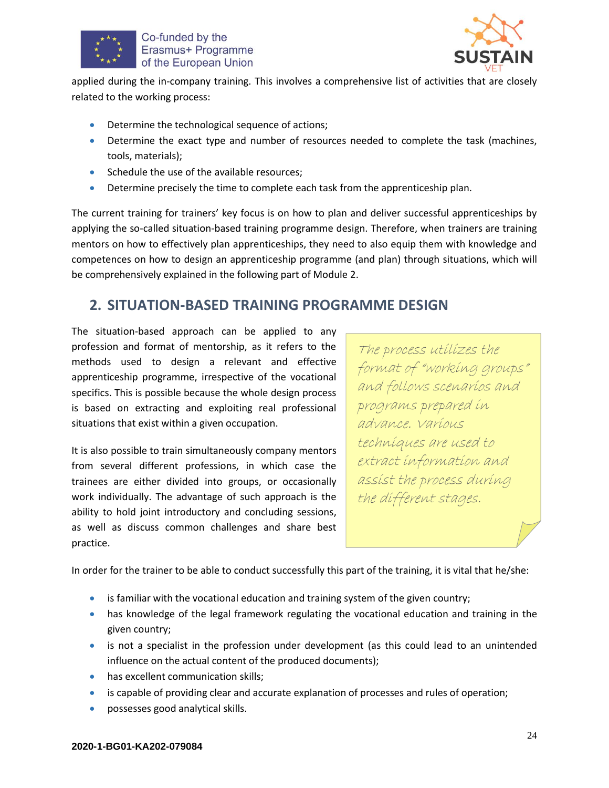



applied during the in-company training. This involves a comprehensive list of activities that are closely related to the working process:

- Determine the technological sequence of actions;
- Determine the exact type and number of resources needed to complete the task (machines, tools, materials);
- Schedule the use of the available resources;
- Determine precisely the time to complete each task from the apprenticeship plan.

The current training for trainers' key focus is on how to plan and deliver successful apprenticeships by applying the so-called situation-based training programme design. Therefore, when trainers are training mentors on how to effectively plan apprenticeships, they need to also equip them with knowledge and competences on how to design an apprenticeship programme (and plan) through situations, which will be comprehensively explained in the following part of Module 2.

## <span id="page-23-0"></span>**2. SITUATION-BASED TRAINING PROGRAMME DESIGN**

The situation-based approach can be applied to any profession and format of mentorship, as it refers to the methods used to design a relevant and effective apprenticeship programme, irrespective of the vocational specifics. This is possible because the whole design process is based on extracting and exploiting real professional situations that exist within a given occupation.

It is also possible to train simultaneously company mentors from several different professions, in which case the trainees are either divided into groups, or occasionally work individually. The advantage of such approach is the ability to hold joint introductory and concluding sessions, as well as discuss common challenges and share best practice.

The process utilizes the format of "working groups" and follows scenarios and programs prepared in advance. Various techniques are used to extract information and assist the process during the different stages.

In order for the trainer to be able to conduct successfully this part of the training, it is vital that he/she:

- is familiar with the vocational education and training system of the given country;
- has knowledge of the legal framework regulating the vocational education and training in the given country;
- is not a specialist in the profession under development (as this could lead to an unintended influence on the actual content of the produced documents);
- has excellent communication skills;
- is capable of providing clear and accurate explanation of processes and rules of operation;
- possesses good analytical skills.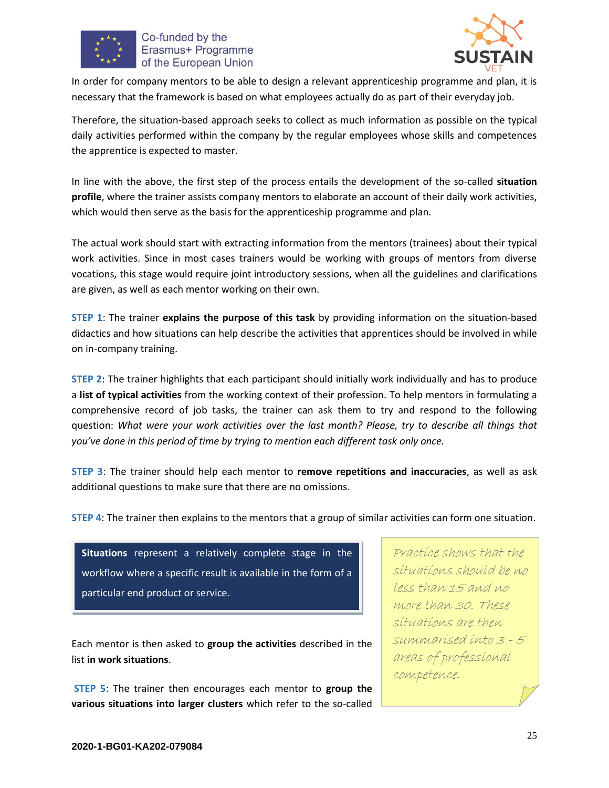



In order for company mentors to be able to design a relevant apprenticeship programme and plan, it is necessary that the framework is based on what employees actually do as part of their everyday job.

Therefore, the situation-based approach seeks to collect as much information as possible on the typical daily activities performed within the company by the regular employees whose skills and competences the apprentice is expected to master.

In line with the above, the first step of the process entails the development of the so-called **situation profile**, where the trainer assists company mentors to elaborate an account of their daily work activities, which would then serve as the basis for the apprenticeship programme and plan.

The actual work should start with extracting information from the mentors (trainees) about their typical work activities. Since in most cases trainers would be working with groups of mentors from diverse vocations, this stage would require joint introductory sessions, when all the guidelines and clarifications are given, as well as each mentor working on their own.

**STEP 1**: The trainer **explains the purpose of this task** by providing information on the situation-based didactics and how situations can help describe the activities that apprentices should be involved in while on in-company training.

**STEP 2**: The trainer highlights that each participant should initially work individually and has to produce a **list of typical activities** from the working context of their profession. To help mentors in formulating a comprehensive record of job tasks, the trainer can ask them to try and respond to the following question: *What were your work activities over the last month? Please, try to describe all things that you've done in this period of time by trying to mention each different task only once.*

**STEP 3**: The trainer should help each mentor to **remove repetitions and inaccuracies**, as well as ask additional questions to make sure that there are no omissions.

**STEP 4**: The trainer then explains to the mentors that a group of similar activities can form one situation.



Each mentor is then asked to **group the activities** described in the list **in work situations**.

**STEP 5**: The trainer then encourages each mentor to **group the various situations into larger clusters** which refer to the so-called

Practice shows that the situations should be no less than 15 and no more than 30. These situations are then summarised into 3 - 5 areas of professional competence.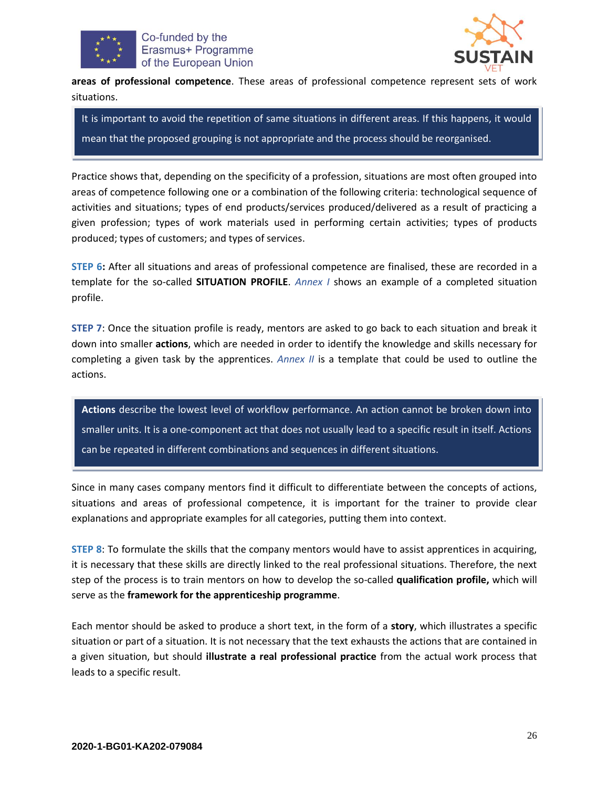



**areas of professional competence**. These areas of professional competence represent sets of work situations.

It is important to avoid the repetition of same situations in different areas. If this happens, it would mean that the proposed grouping is not appropriate and the process should be reorganised.

Practice shows that, depending on the specificity of a profession, situations are most often grouped into areas of competence following one or a combination of the following criteria: technological sequence of activities and situations; types of end products/services produced/delivered as a result of practicing a given profession; types of work materials used in performing certain activities; types of products produced; types of customers; and types of services.

**STEP 6:** After all situations and areas of professional competence are finalised, these are recorded in a template for the so-called **SITUATION PROFILE**. *Annex I* shows an example of a completed situation profile.

**STEP 7**: Once the situation profile is ready, mentors are asked to go back to each situation and break it down into smaller **actions**, which are needed in order to identify the knowledge and skills necessary for completing a given task by the apprentices. *Annex II* is a template that could be used to outline the actions.

**Actions** describe the lowest level of workflow performance. An action cannot be broken down into smaller units. It is a one-component act that does not usually lead to a specific result in itself. Actions can be repeated in different combinations and sequences in different situations.

Since in many cases company mentors find it difficult to differentiate between the concepts of actions, situations and areas of professional competence, it is important for the trainer to provide clear explanations and appropriate examples for all categories, putting them into context.

**STEP 8**: To formulate the skills that the company mentors would have to assist apprentices in acquiring, it is necessary that these skills are directly linked to the real professional situations. Therefore, the next step of the process is to train mentors on how to develop the so-called **qualification profile,** which will serve as the **framework for the apprenticeship programme**.

Each mentor should be asked to produce a short text, in the form of a **story**, which illustrates a specific situation or part of a situation. It is not necessary that the text exhausts the actions that are contained in a given situation, but should **illustrate a real professional practice** from the actual work process that leads to a specific result.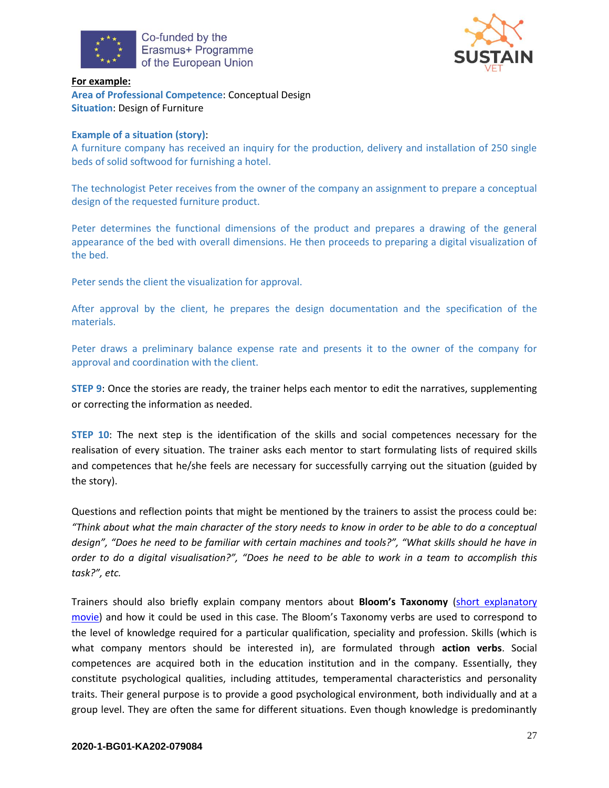



**For example: Area of Professional Competence**: Conceptual Design **Situation**: Design of Furniture

#### **Example of a situation (story)**:

A furniture company has received an inquiry for the production, delivery and installation of 250 single beds of solid softwood for furnishing a hotel.

The technologist Peter receives from the owner of the company an assignment to prepare a conceptual design of the requested furniture product.

Peter determines the functional dimensions of the product and prepares a drawing of the general appearance of the bed with overall dimensions. He then proceeds to preparing a digital visualization of the bed.

Peter sends the client the visualization for approval.

After approval by the client, he prepares the design documentation and the specification of the materials.

Peter draws a preliminary balance expense rate and presents it to the owner of the company for approval and coordination with the client.

**STEP 9**: Once the stories are ready, the trainer helps each mentor to edit the narratives, supplementing or correcting the information as needed.

**STEP 10**: The next step is the identification of the skills and social competences necessary for the realisation of every situation. The trainer asks each mentor to start formulating lists of required skills and competences that he/she feels are necessary for successfully carrying out the situation (guided by the story).

Questions and reflection points that might be mentioned by the trainers to assist the process could be: *"Think about what the main character of the story needs to know in order to be able to do a conceptual design", "Does he need to be familiar with certain machines and tools?", "What skills should he have in order to do a digital visualisation?", "Does he need to be able to work in a team to accomplish this task?", etc.*

Trainers should also briefly explain company mentors about **Bloom's Taxonomy** [\(short explanatory](https://www.youtube.com/watch?v=Qfp3x_qx5IM)  [movie](https://www.youtube.com/watch?v=Qfp3x_qx5IM)) and how it could be used in this case. The Bloom's Taxonomy verbs are used to correspond to the level of knowledge required for a particular qualification, speciality and profession. Skills (which is what company mentors should be interested in), are formulated through **action verbs**. Social competences are acquired both in the education institution and in the company. Essentially, they constitute psychological qualities, including attitudes, temperamental characteristics and personality traits. Their general purpose is to provide a good psychological environment, both individually and at a group level. They are often the same for different situations. Even though knowledge is predominantly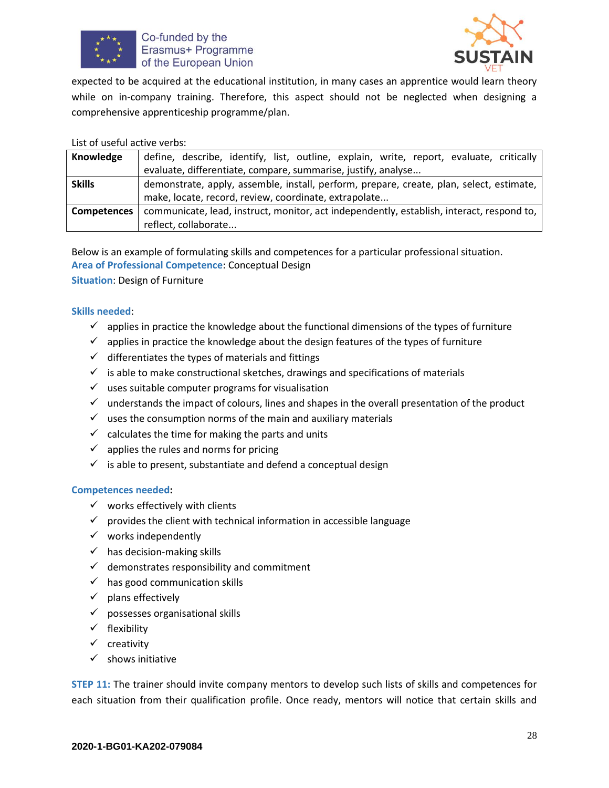



expected to be acquired at the educational institution, in many cases an apprentice would learn theory while on in-company training. Therefore, this aspect should not be neglected when designing a comprehensive apprenticeship programme/plan.

#### List of useful active verbs:

| Knowledge          | define, describe, identify, list, outline, explain, write, report, evaluate, critically   |  |  |
|--------------------|-------------------------------------------------------------------------------------------|--|--|
|                    | evaluate, differentiate, compare, summarise, justify, analyse                             |  |  |
| <b>Skills</b>      | demonstrate, apply, assemble, install, perform, prepare, create, plan, select, estimate,  |  |  |
|                    | make, locate, record, review, coordinate, extrapolate                                     |  |  |
| <b>Competences</b> | communicate, lead, instruct, monitor, act independently, establish, interact, respond to, |  |  |
|                    | reflect, collaborate                                                                      |  |  |

Below is an example of formulating skills and competences for a particular professional situation. **Area of Professional Competence**: Conceptual Design

**Situation**: Design of Furniture

#### **Skills needed**:

- $\checkmark$  applies in practice the knowledge about the functional dimensions of the types of furniture
- $\checkmark$  applies in practice the knowledge about the design features of the types of furniture
- $\checkmark$  differentiates the types of materials and fittings
- $\checkmark$  is able to make constructional sketches, drawings and specifications of materials
- $\checkmark$  uses suitable computer programs for visualisation
- $\checkmark$  understands the impact of colours, lines and shapes in the overall presentation of the product
- $\checkmark$  uses the consumption norms of the main and auxiliary materials
- $\checkmark$  calculates the time for making the parts and units
- $\checkmark$  applies the rules and norms for pricing
- $\checkmark$  is able to present, substantiate and defend a conceptual design

#### **Competences needed:**

- $\checkmark$  works effectively with clients
- $\checkmark$  provides the client with technical information in accessible language
- $\checkmark$  works independently
- $\checkmark$  has decision-making skills
- $\checkmark$  demonstrates responsibility and commitment
- $\checkmark$  has good communication skills
- $\checkmark$  plans effectively
- $\checkmark$  possesses organisational skills
- $\checkmark$  flexibility
- $\checkmark$  creativity
- $\checkmark$  shows initiative

**STEP 11:** The trainer should invite company mentors to develop such lists of skills and competences for each situation from their qualification profile. Once ready, mentors will notice that certain skills and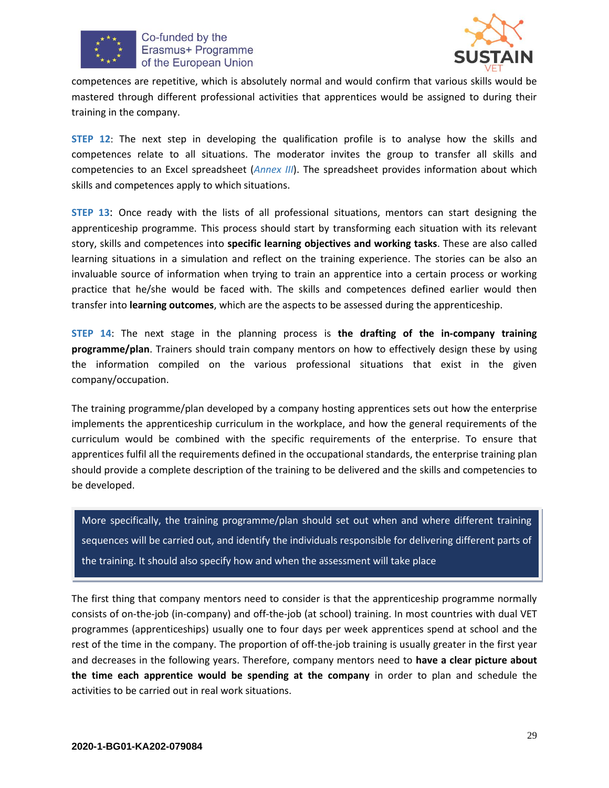



competences are repetitive, which is absolutely normal and would confirm that various skills would be mastered through different professional activities that apprentices would be assigned to during their training in the company.

**STEP 12**: The next step in developing the qualification profile is to analyse how the skills and competences relate to all situations. The moderator invites the group to transfer all skills and competencies to an Excel spreadsheet (*Annex III*). The spreadsheet provides information about which skills and competences apply to which situations.

**STEP 13**: Once ready with the lists of all professional situations, mentors can start designing the apprenticeship programme. This process should start by transforming each situation with its relevant story, skills and competences into **specific learning objectives and working tasks**. These are also called learning situations in a simulation and reflect on the training experience. The stories can be also an invaluable source of information when trying to train an apprentice into a certain process or working practice that he/she would be faced with. The skills and competences defined earlier would then transfer into **learning outcomes**, which are the aspects to be assessed during the apprenticeship.

**STEP 14**: The next stage in the planning process is **the drafting of the in-company training programme/plan**. Trainers should train company mentors on how to effectively design these by using the information compiled on the various professional situations that exist in the given company/occupation.

The training programme/plan developed by a company hosting apprentices sets out how the enterprise implements the apprenticeship curriculum in the workplace, and how the general requirements of the curriculum would be combined with the specific requirements of the enterprise. To ensure that apprentices fulfil all the requirements defined in the occupational standards, the enterprise training plan should provide a complete description of the training to be delivered and the skills and competencies to be developed.

More specifically, the training programme/plan should set out when and where different training sequences will be carried out, and identify the individuals responsible for delivering different parts of the training. It should also specify how and when the assessment will take place

The first thing that company mentors need to consider is that the apprenticeship programme normally consists of on-the-job (in-company) and off-the-job (at school) training. In most countries with dual VET programmes (apprenticeships) usually one to four days per week apprentices spend at school and the rest of the time in the company. The proportion of off-the-job training is usually greater in the first year and decreases in the following years. Therefore, company mentors need to **have a clear picture about the time each apprentice would be spending at the company** in order to plan and schedule the activities to be carried out in real work situations.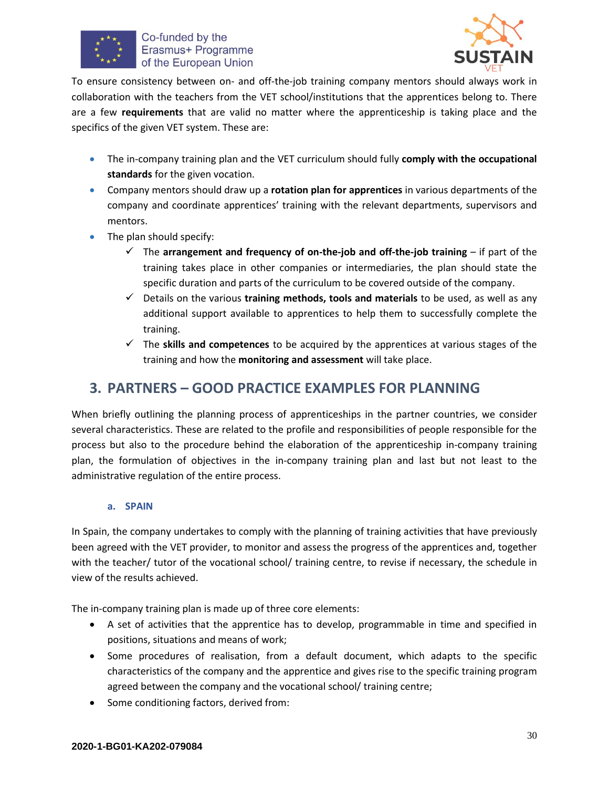



To ensure consistency between on- and off-the-job training company mentors should always work in collaboration with the teachers from the VET school/institutions that the apprentices belong to. There are a few **requirements** that are valid no matter where the apprenticeship is taking place and the specifics of the given VET system. These are:

- The in-company training plan and the VET curriculum should fully **comply with the occupational standards** for the given vocation.
- Company mentors should draw up a **rotation plan for apprentices** in various departments of the company and coordinate apprentices' training with the relevant departments, supervisors and mentors.
- The plan should specify:
	- $\checkmark$  The **arrangement and frequency of on-the-job and off-the-job training** if part of the training takes place in other companies or intermediaries, the plan should state the specific duration and parts of the curriculum to be covered outside of the company.
	- ✓ Details on the various **training methods, tools and materials** to be used, as well as any additional support available to apprentices to help them to successfully complete the training.
	- ✓ The **skills and competences** to be acquired by the apprentices at various stages of the training and how the **monitoring and assessment** will take place.

## <span id="page-29-0"></span>**3. PARTNERS – GOOD PRACTICE EXAMPLES FOR PLANNING**

When briefly outlining the planning process of apprenticeships in the partner countries, we consider several characteristics. These are related to the profile and responsibilities of people responsible for the process but also to the procedure behind the elaboration of the apprenticeship in-company training plan, the formulation of objectives in the in-company training plan and last but not least to the administrative regulation of the entire process.

#### **a. SPAIN**

In Spain, the company undertakes to comply with the planning of training activities that have previously been agreed with the VET provider, to monitor and assess the progress of the apprentices and, together with the teacher/ tutor of the vocational school/ training centre, to revise if necessary, the schedule in view of the results achieved.

The in-company training plan is made up of three core elements:

- A set of activities that the apprentice has to develop, programmable in time and specified in positions, situations and means of work;
- Some procedures of realisation, from a default document, which adapts to the specific characteristics of the company and the apprentice and gives rise to the specific training program agreed between the company and the vocational school/ training centre;
- Some conditioning factors, derived from: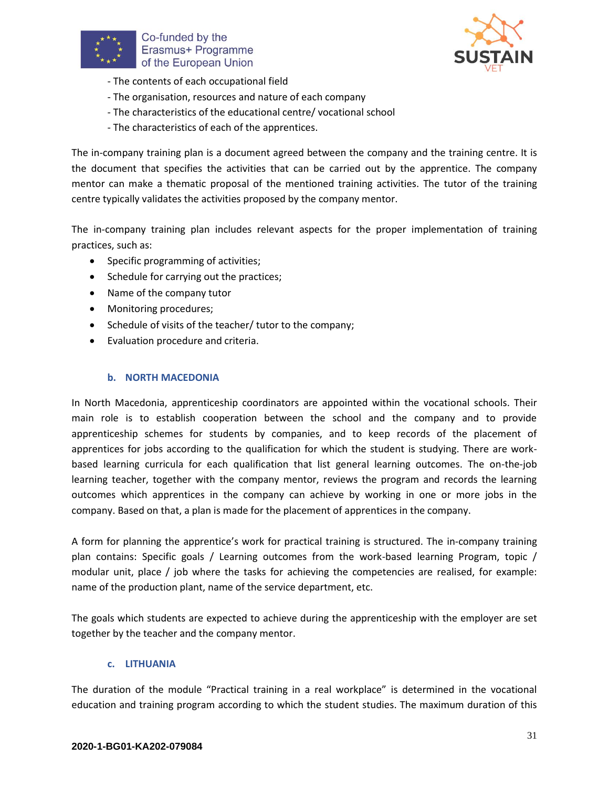



- The contents of each occupational field
- The organisation, resources and nature of each company
- The characteristics of the educational centre/ vocational school
- The characteristics of each of the apprentices.

The in-company training plan is a document agreed between the company and the training centre. It is the document that specifies the activities that can be carried out by the apprentice. The company mentor can make a thematic proposal of the mentioned training activities. The tutor of the training centre typically validates the activities proposed by the company mentor.

The in-company training plan includes relevant aspects for the proper implementation of training practices, such as:

- Specific programming of activities;
- Schedule for carrying out the practices;
- Name of the company tutor
- Monitoring procedures;
- Schedule of visits of the teacher/ tutor to the company;
- Evaluation procedure and criteria.

#### **b. NORTH MACEDONIA**

In North Macedonia, apprenticeship coordinators are appointed within the vocational schools. Their main role is to establish cooperation between the school and the company and to provide apprenticeship schemes for students by companies, and to keep records of the placement of apprentices for jobs according to the qualification for which the student is studying. There are workbased learning curricula for each qualification that list general learning outcomes. The on-the-job learning teacher, together with the company mentor, reviews the program and records the learning outcomes which apprentices in the company can achieve by working in one or more jobs in the company. Based on that, a plan is made for the placement of apprentices in the company.

A form for planning the apprentice's work for practical training is structured. The in-company training plan contains: Specific goals / Learning outcomes from the work-based learning Program, topic / modular unit, place / job where the tasks for achieving the competencies are realised, for example: name of the production plant, name of the service department, etc.

The goals which students are expected to achieve during the apprenticeship with the employer are set together by the teacher and the company mentor.

#### **c. LITHUANIA**

The duration of the module "Practical training in a real workplace" is determined in the vocational education and training program according to which the student studies. The maximum duration of this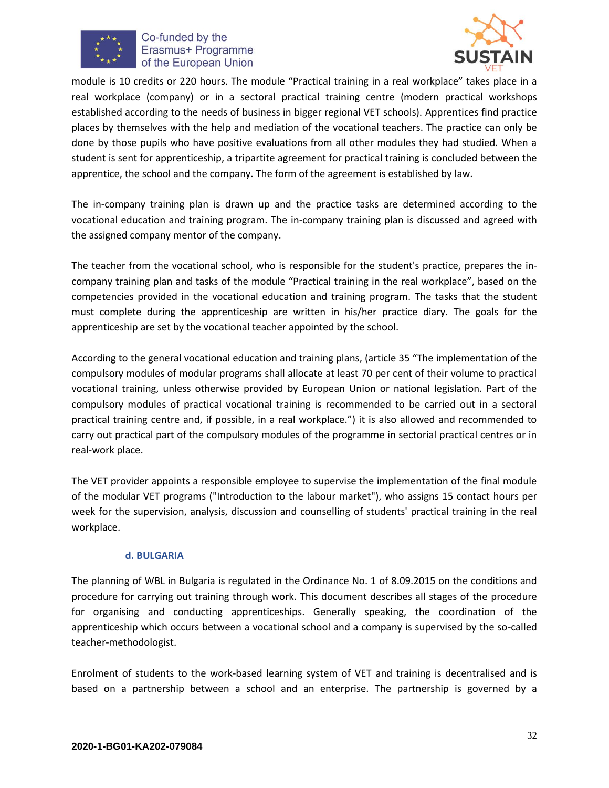



module is 10 credits or 220 hours. The module "Practical training in a real workplace" takes place in a real workplace (company) or in a sectoral practical training centre (modern practical workshops established according to the needs of business in bigger regional VET schools). Apprentices find practice places by themselves with the help and mediation of the vocational teachers. The practice can only be done by those pupils who have positive evaluations from all other modules they had studied. When a student is sent for apprenticeship, a tripartite agreement for practical training is concluded between the apprentice, the school and the company. The form of the agreement is established by law.

The in-company training plan is drawn up and the practice tasks are determined according to the vocational education and training program. The in-company training plan is discussed and agreed with the assigned company mentor of the company.

The teacher from the vocational school, who is responsible for the student's practice, prepares the incompany training plan and tasks of the module "Practical training in the real workplace", based on the competencies provided in the vocational education and training program. The tasks that the student must complete during the apprenticeship are written in his/her practice diary. The goals for the apprenticeship are set by the vocational teacher appointed by the school.

According to the general vocational education and training plans, (article 35 "The implementation of the compulsory modules of modular programs shall allocate at least 70 per cent of their volume to practical vocational training, unless otherwise provided by European Union or national legislation. Part of the compulsory modules of practical vocational training is recommended to be carried out in a sectoral practical training centre and, if possible, in a real workplace.") it is also allowed and recommended to carry out practical part of the compulsory modules of the programme in sectorial practical centres or in real-work place.

The VET provider appoints a responsible employee to supervise the implementation of the final module of the modular VET programs ("Introduction to the labour market"), who assigns 15 contact hours per week for the supervision, analysis, discussion and counselling of students' practical training in the real workplace.

#### **d. BULGARIA**

The planning of WBL in Bulgaria is regulated in the Ordinance No. 1 of 8.09.2015 on the conditions and procedure for carrying out training through work. This document describes all stages of the procedure for organising and conducting apprenticeships. Generally speaking, the coordination of the apprenticeship which occurs between a vocational school and a company is supervised by the so-called teacher-methodologist.

Enrolment of students to the work-based learning system of VET and training is decentralised and is based on a partnership between a school and an enterprise. The partnership is governed by a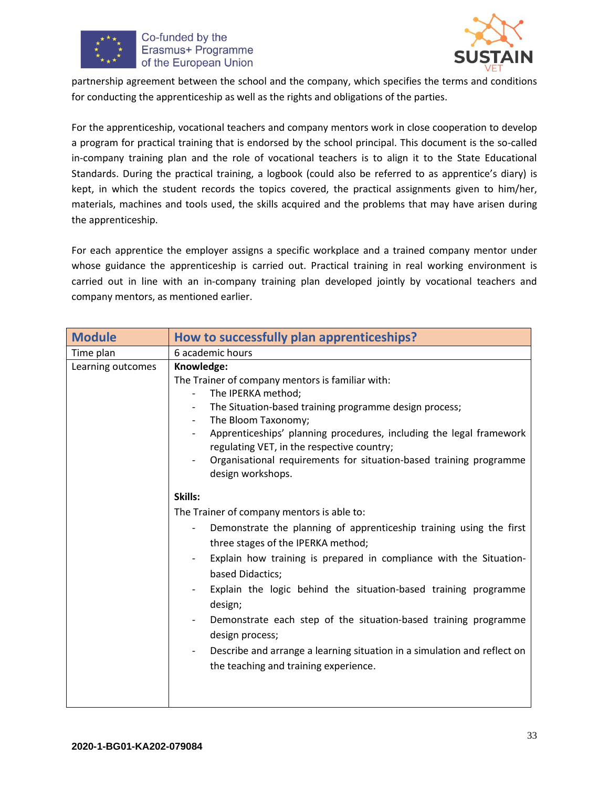



partnership agreement between the school and the company, which specifies the terms and conditions for conducting the apprenticeship as well as the rights and obligations of the parties.

For the apprenticeship, vocational teachers and company mentors work in close cooperation to develop a program for practical training that is endorsed by the school principal. This document is the so-called in-company training plan and the role of vocational teachers is to align it to the State Educational Standards. During the practical training, a logbook (could also be referred to as apprentice's diary) is kept, in which the student records the topics covered, the practical assignments given to him/her, materials, machines and tools used, the skills acquired and the problems that may have arisen during the apprenticeship.

For each apprentice the employer assigns a specific workplace and a trained company mentor under whose guidance the apprenticeship is carried out. Practical training in real working environment is carried out in line with an in-company training plan developed jointly by vocational teachers and company mentors, as mentioned earlier.

| <b>Module</b>     | How to successfully plan apprenticeships?                                                                                                                                                                                                                                                                                                                                                                                                                                                                                                                                         |
|-------------------|-----------------------------------------------------------------------------------------------------------------------------------------------------------------------------------------------------------------------------------------------------------------------------------------------------------------------------------------------------------------------------------------------------------------------------------------------------------------------------------------------------------------------------------------------------------------------------------|
| Time plan         | 6 academic hours                                                                                                                                                                                                                                                                                                                                                                                                                                                                                                                                                                  |
| Learning outcomes | Knowledge:<br>The Trainer of company mentors is familiar with:<br>The IPERKA method;<br>The Situation-based training programme design process;<br>The Bloom Taxonomy;<br>$\overline{\phantom{a}}$<br>Apprenticeships' planning procedures, including the legal framework<br>regulating VET, in the respective country;<br>Organisational requirements for situation-based training programme<br>design workshops.                                                                                                                                                                 |
|                   | Skills:<br>The Trainer of company mentors is able to:<br>Demonstrate the planning of apprenticeship training using the first<br>three stages of the IPERKA method;<br>Explain how training is prepared in compliance with the Situation-<br>based Didactics;<br>Explain the logic behind the situation-based training programme<br>design;<br>Demonstrate each step of the situation-based training programme<br>design process;<br>Describe and arrange a learning situation in a simulation and reflect on<br>$\overline{\phantom{0}}$<br>the teaching and training experience. |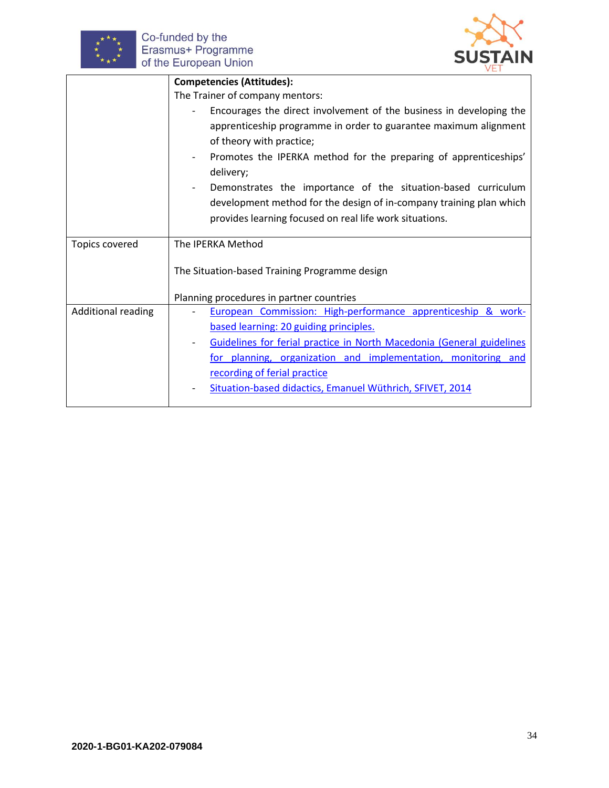



|                       | <b>Competencies (Attitudes):</b>                                      |  |
|-----------------------|-----------------------------------------------------------------------|--|
|                       | The Trainer of company mentors:                                       |  |
|                       | Encourages the direct involvement of the business in developing the   |  |
|                       | apprenticeship programme in order to guarantee maximum alignment      |  |
|                       | of theory with practice;                                              |  |
|                       | Promotes the IPERKA method for the preparing of apprenticeships'      |  |
|                       | delivery;                                                             |  |
|                       | Demonstrates the importance of the situation-based curriculum         |  |
|                       | development method for the design of in-company training plan which   |  |
|                       | provides learning focused on real life work situations.               |  |
|                       |                                                                       |  |
| <b>Topics covered</b> | The <b>IPERKA</b> Method                                              |  |
|                       |                                                                       |  |
|                       | The Situation-based Training Programme design                         |  |
|                       | Planning procedures in partner countries                              |  |
| Additional reading    | European Commission: High-performance apprenticeship & work-          |  |
|                       | based learning: 20 guiding principles.                                |  |
|                       | Guidelines for ferial practice in North Macedonia (General guidelines |  |
|                       | for planning, organization and implementation, monitoring and         |  |
|                       | recording of ferial practice                                          |  |
|                       | Situation-based didactics, Emanuel Wüthrich, SFIVET, 2014             |  |
|                       |                                                                       |  |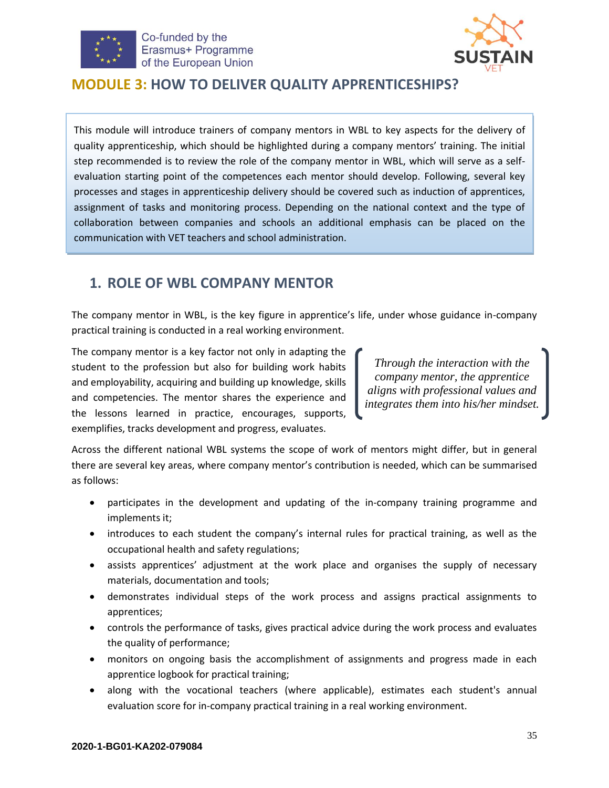



### <span id="page-34-0"></span>**MODULE 3: HOW TO DELIVER QUALITY APPRENTICESHIPS?**

This module will introduce trainers of company mentors in WBL to key aspects for the delivery of quality apprenticeship, which should be highlighted during a company mentors' training. The initial step recommended is to review the role of the company mentor in WBL, which will serve as a selfevaluation starting point of the competences each mentor should develop. Following, several key processes and stages in apprenticeship delivery should be covered such as induction of apprentices, assignment of tasks and monitoring process. Depending on the national context and the type of collaboration between companies and schools an additional emphasis can be placed on the communication with VET teachers and school administration.

# <span id="page-34-1"></span>**1. ROLE OF WBL COMPANY MENTOR**

The company mentor in WBL, is the key figure in apprentice's life, under whose guidance in-company practical training is conducted in a real working environment.

The company mentor is a key factor not only in adapting the student to the profession but also for building work habits and employability, acquiring and building up knowledge, skills and competencies. The mentor shares the experience and the lessons learned in practice, encourages, supports, exemplifies, tracks development and progress, evaluates.

*Through the interaction with the company mentor, the apprentice aligns with professional values and integrates them into his/her mindset.*

Across the different national WBL systems the scope of work of mentors might differ, but in general there are several key areas, where company mentor's contribution is needed, which can be summarised as follows:

- participates in the development and updating of the in-company training programme and implements it;
- introduces to each student the company's internal rules for practical training, as well as the occupational health and safety regulations;
- assists apprentices' adjustment at the work place and organises the supply of necessary materials, documentation and tools;
- demonstrates individual steps of the work process and assigns practical assignments to apprentices;
- controls the performance of tasks, gives practical advice during the work process and evaluates the quality of performance;
- monitors on ongoing basis the accomplishment of assignments and progress made in each apprentice logbook for practical training;
- along with the vocational teachers (where applicable), estimates each student's annual evaluation score for in-company practical training in a real working environment.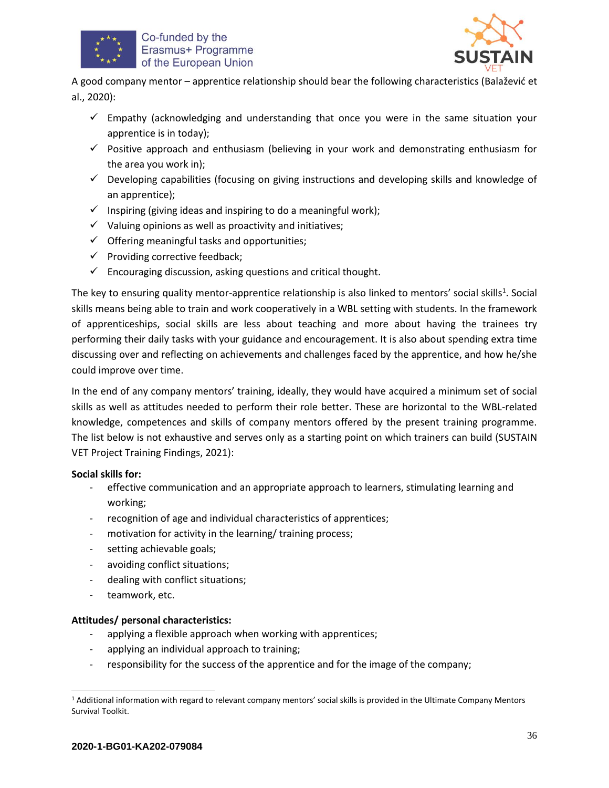



A good company mentor – apprentice relationship should bear the following characteristics (Balažević et al., 2020):

- $\checkmark$  Empathy (acknowledging and understanding that once you were in the same situation your apprentice is in today);
- $\checkmark$  Positive approach and enthusiasm (believing in your work and demonstrating enthusiasm for the area you work in);
- $\checkmark$  Developing capabilities (focusing on giving instructions and developing skills and knowledge of an apprentice);
- $\checkmark$  Inspiring (giving ideas and inspiring to do a meaningful work);
- $\checkmark$  Valuing opinions as well as proactivity and initiatives;
- $\checkmark$  Offering meaningful tasks and opportunities;
- $\checkmark$  Providing corrective feedback;
- $\checkmark$  Encouraging discussion, asking questions and critical thought.

The key to ensuring quality mentor-apprentice relationship is also linked to mentors' social skills<sup>1</sup>. Social skills means being able to train and work cooperatively in a WBL setting with students. In the framework of apprenticeships, social skills are less about teaching and more about having the trainees try performing their daily tasks with your guidance and encouragement. It is also about spending extra time discussing over and reflecting on achievements and challenges faced by the apprentice, and how he/she could improve over time.

In the end of any company mentors' training, ideally, they would have acquired a minimum set of social skills as well as attitudes needed to perform their role better. These are horizontal to the WBL-related knowledge, competences and skills of company mentors offered by the present training programme. The list below is not exhaustive and serves only as a starting point on which trainers can build (SUSTAIN VET Project Training Findings, 2021):

#### **Social skills for:**

- effective communication and an appropriate approach to learners, stimulating learning and working;
- recognition of age and individual characteristics of apprentices;
- motivation for activity in the learning/ training process;
- setting achievable goals;
- avoiding conflict situations;
- dealing with conflict situations;
- teamwork, etc.

#### **Attitudes/ personal characteristics:**

- applying a flexible approach when working with apprentices;
- applying an individual approach to training;
- responsibility for the success of the apprentice and for the image of the company;

<sup>1</sup> Additional information with regard to relevant company mentors' social skills is provided in the Ultimate Company Mentors Survival Toolkit.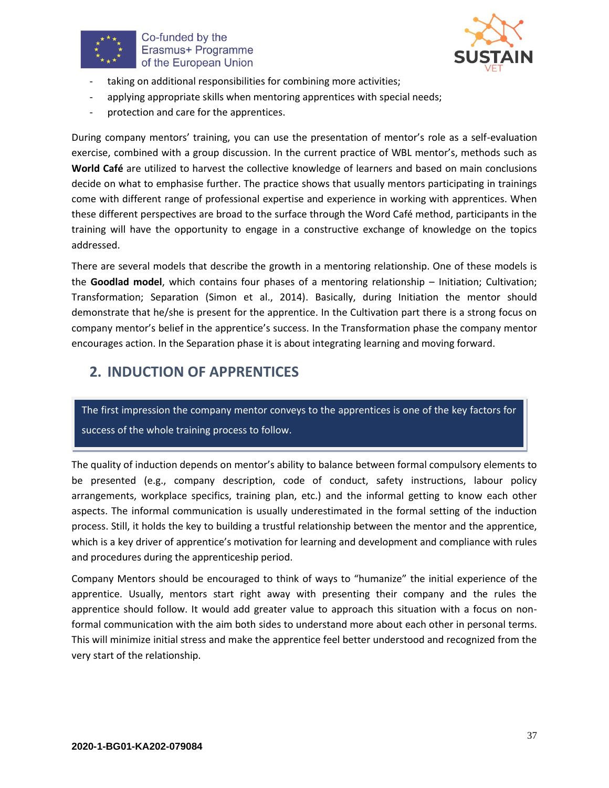



- taking on additional responsibilities for combining more activities;
- applying appropriate skills when mentoring apprentices with special needs;
- protection and care for the apprentices.

During company mentors' training, you can use the presentation of mentor's role as a self-evaluation exercise, combined with a group discussion. In the current practice of WBL mentor's, methods such as **World Café** are utilized to harvest the collective knowledge of learners and based on main conclusions decide on what to emphasise further. The practice shows that usually mentors participating in trainings come with different range of professional expertise and experience in working with apprentices. When these different perspectives are broad to the surface through the Word Café method, participants in the training will have the opportunity to engage in a constructive exchange of knowledge on the topics addressed.

There are several models that describe the growth in a mentoring relationship. One of these models is the **Goodlad model**, which contains four phases of a mentoring relationship – Initiation; Cultivation; Transformation; Separation (Simon et al., 2014). Basically, during Initiation the mentor should demonstrate that he/she is present for the apprentice. In the Cultivation part there is a strong focus on company mentor's belief in the apprentice's success. In the Transformation phase the company mentor encourages action. In the Separation phase it is about integrating learning and moving forward.

# <span id="page-36-0"></span>**2. INDUCTION OF APPRENTICES**

The first impression the company mentor conveys to the apprentices is one of the key factors for success of the whole training process to follow.

The quality of induction depends on mentor's ability to balance between formal compulsory elements to be presented (e.g., company description, code of conduct, safety instructions, labour policy arrangements, workplace specifics, training plan, etc.) and the informal getting to know each other aspects. The informal communication is usually underestimated in the formal setting of the induction process. Still, it holds the key to building a trustful relationship between the mentor and the apprentice, which is a key driver of apprentice's motivation for learning and development and compliance with rules and procedures during the apprenticeship period.

Company Mentors should be encouraged to think of ways to "humanize" the initial experience of the apprentice. Usually, mentors start right away with presenting their company and the rules the apprentice should follow. It would add greater value to approach this situation with a focus on nonformal communication with the aim both sides to understand more about each other in personal terms. This will minimize initial stress and make the apprentice feel better understood and recognized from the very start of the relationship.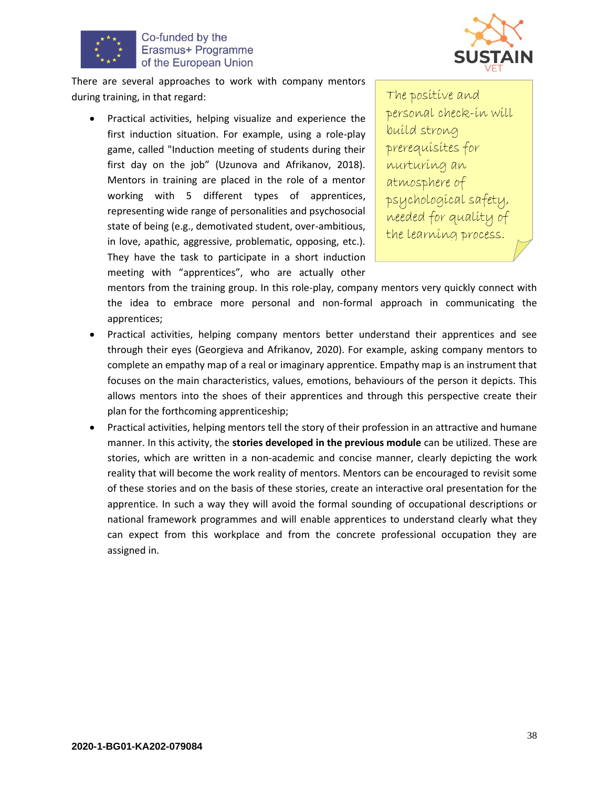



There are several approaches to work with company mentors during training, in that regard:

• Practical activities, helping visualize and experience the first induction situation. For example, using a role-play game, called "Induction meeting of students during their first day on the job" (Uzunova and Afrikanov, 2018). Mentors in training are placed in the role of a mentor working with 5 different types of apprentices, representing wide range of personalities and psychosocial state of being (e.g., demotivated student, over-ambitious, in love, apathic, aggressive, problematic, opposing, etc.). They have the task to participate in a short induction meeting with "apprentices", who are actually other

The positive and personal check-in will build strong prerequisites for nurturing an atmosphere of psychological safety, needed for quality of the learning process.

mentors from the training group. In this role-play, company mentors very quickly connect with the idea to embrace more personal and non-formal approach in communicating the apprentices;

- Practical activities, helping company mentors better understand their apprentices and see through their eyes (Georgieva and Afrikanov, 2020). For example, asking company mentors to complete an empathy map of a real or imaginary apprentice. Empathy map is an instrument that focuses on the main characteristics, values, emotions, behaviours of the person it depicts. This allows mentors into the shoes of their apprentices and through this perspective create their plan for the forthcoming apprenticeship;
- Practical activities, helping mentors tell the story of their profession in an attractive and humane manner. In this activity, the **stories developed in the previous module** can be utilized. These are stories, which are written in a non-academic and concise manner, clearly depicting the work reality that will become the work reality of mentors. Mentors can be encouraged to revisit some of these stories and on the basis of these stories, create an interactive oral presentation for the apprentice. In such a way they will avoid the formal sounding of occupational descriptions or national framework programmes and will enable apprentices to understand clearly what they can expect from this workplace and from the concrete professional occupation they are assigned in.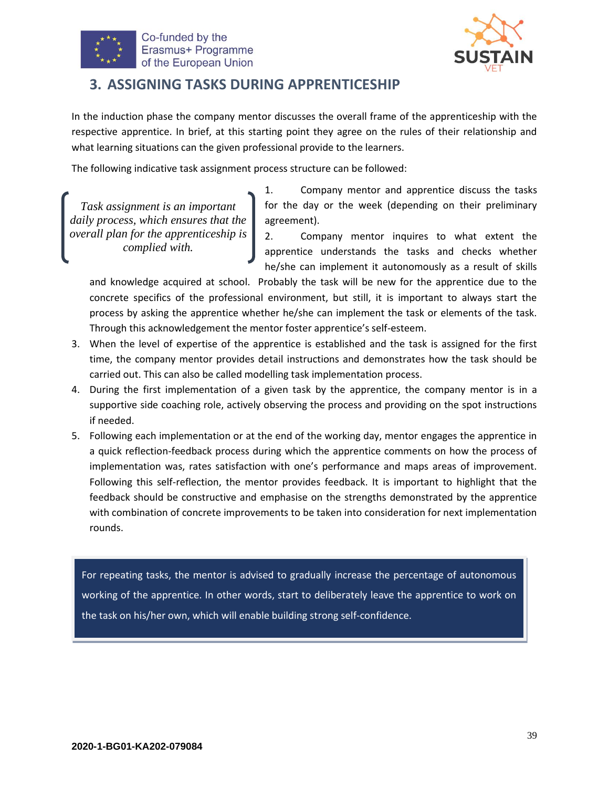



## <span id="page-38-0"></span>**3. ASSIGNING TASKS DURING APPRENTICESHIP**

In the induction phase the company mentor discusses the overall frame of the apprenticeship with the respective apprentice. In brief, at this starting point they agree on the rules of their relationship and what learning situations can the given professional provide to the learners.

The following indicative task assignment process structure can be followed:

*Task assignment is an important daily process, which ensures that the overall plan for the apprenticeship is complied with.*

1. Company mentor and apprentice discuss the tasks for the day or the week (depending on their preliminary agreement).

2. Company mentor inquires to what extent the apprentice understands the tasks and checks whether he/she can implement it autonomously as a result of skills

and knowledge acquired at school. Probably the task will be new for the apprentice due to the concrete specifics of the professional environment, but still, it is important to always start the process by asking the apprentice whether he/she can implement the task or elements of the task. Through this acknowledgement the mentor foster apprentice's self-esteem.

- 3. When the level of expertise of the apprentice is established and the task is assigned for the first time, the company mentor provides detail instructions and demonstrates how the task should be carried out. This can also be called modelling task implementation process.
- 4. During the first implementation of a given task by the apprentice, the company mentor is in a supportive side coaching role, actively observing the process and providing on the spot instructions if needed.
- 5. Following each implementation or at the end of the working day, mentor engages the apprentice in a quick reflection-feedback process during which the apprentice comments on how the process of implementation was, rates satisfaction with one's performance and maps areas of improvement. Following this self-reflection, the mentor provides feedback. It is important to highlight that the feedback should be constructive and emphasise on the strengths demonstrated by the apprentice with combination of concrete improvements to be taken into consideration for next implementation rounds.

For repeating tasks, the mentor is advised to gradually increase the percentage of autonomous working of the apprentice. In other words, start to deliberately leave the apprentice to work on the task on his/her own, which will enable building strong self-confidence.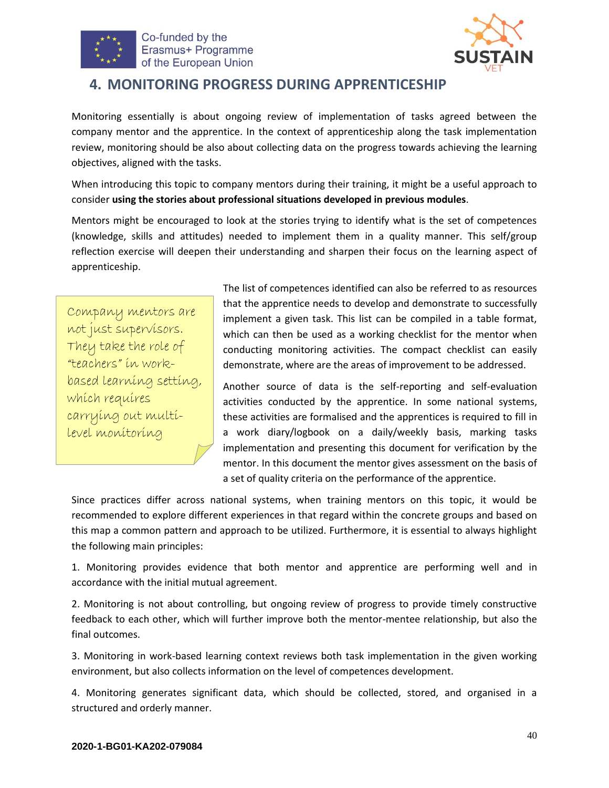



### <span id="page-39-0"></span>**4. MONITORING PROGRESS DURING APPRENTICESHIP**

Monitoring essentially is about ongoing review of implementation of tasks agreed between the company mentor and the apprentice. In the context of apprenticeship along the task implementation review, monitoring should be also about collecting data on the progress towards achieving the learning objectives, aligned with the tasks.

When introducing this topic to company mentors during their training, it might be a useful approach to consider **using the stories about professional situations developed in previous modules**.

Mentors might be encouraged to look at the stories trying to identify what is the set of competences (knowledge, skills and attitudes) needed to implement them in a quality manner. This self/group reflection exercise will deepen their understanding and sharpen their focus on the learning aspect of apprenticeship.

Company mentors are not just supervisors. They take the role of "teachers" in workbased learning setting, which requires carrying out multilevel monitoring

The list of competences identified can also be referred to as resources that the apprentice needs to develop and demonstrate to successfully implement a given task. This list can be compiled in a table format, which can then be used as a working checklist for the mentor when conducting monitoring activities. The compact checklist can easily demonstrate, where are the areas of improvement to be addressed.

Another source of data is the self-reporting and self-evaluation activities conducted by the apprentice. In some national systems, these activities are formalised and the apprentices is required to fill in a work diary/logbook on a daily/weekly basis, marking tasks implementation and presenting this document for verification by the mentor. In this document the mentor gives assessment on the basis of a set of quality criteria on the performance of the apprentice.

Since practices differ across national systems, when training mentors on this topic, it would be recommended to explore different experiences in that regard within the concrete groups and based on this map a common pattern and approach to be utilized. Furthermore, it is essential to always highlight the following main principles:

1. Monitoring provides evidence that both mentor and apprentice are performing well and in accordance with the initial mutual agreement.

2. Monitoring is not about controlling, but ongoing review of progress to provide timely constructive feedback to each other, which will further improve both the mentor-mentee relationship, but also the final outcomes.

3. Monitoring in work-based learning context reviews both task implementation in the given working environment, but also collects information on the level of competences development.

4. Monitoring generates significant data, which should be collected, stored, and organised in a structured and orderly manner.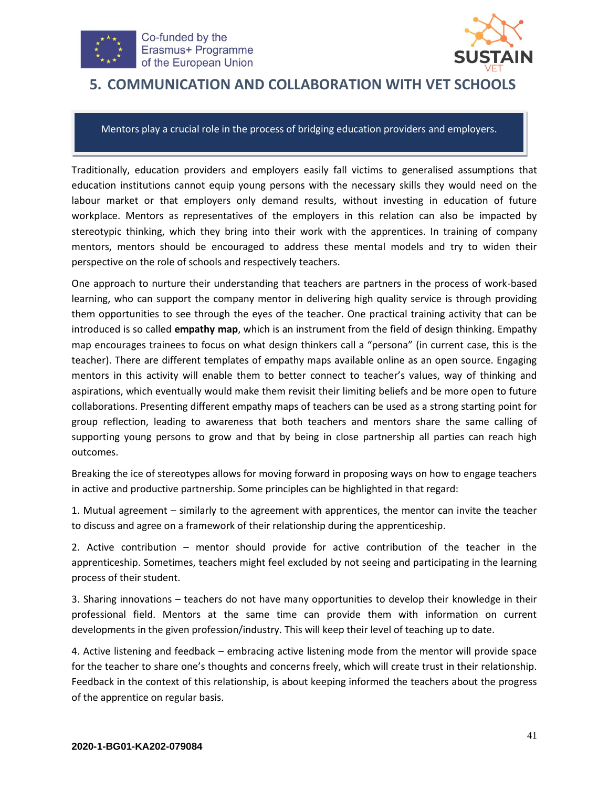



## <span id="page-40-0"></span>**5. COMMUNICATION AND COLLABORATION WITH VET SCHOOLS**

Mentors play a crucial role in the process of bridging education providers and employers.

Traditionally, education providers and employers easily fall victims to generalised assumptions that education institutions cannot equip young persons with the necessary skills they would need on the labour market or that employers only demand results, without investing in education of future workplace. Mentors as representatives of the employers in this relation can also be impacted by stereotypic thinking, which they bring into their work with the apprentices. In training of company mentors, mentors should be encouraged to address these mental models and try to widen their perspective on the role of schools and respectively teachers.

One approach to nurture their understanding that teachers are partners in the process of work-based learning, who can support the company mentor in delivering high quality service is through providing them opportunities to see through the eyes of the teacher. One practical training activity that can be introduced is so called **empathy map**, which is an instrument from the field of design thinking. Empathy map encourages trainees to focus on what design thinkers call a "persona" (in current case, this is the teacher). There are different templates of empathy maps available online as an open source. Engaging mentors in this activity will enable them to better connect to teacher's values, way of thinking and aspirations, which eventually would make them revisit their limiting beliefs and be more open to future collaborations. Presenting different empathy maps of teachers can be used as a strong starting point for group reflection, leading to awareness that both teachers and mentors share the same calling of supporting young persons to grow and that by being in close partnership all parties can reach high outcomes.

Breaking the ice of stereotypes allows for moving forward in proposing ways on how to engage teachers in active and productive partnership. Some principles can be highlighted in that regard:

1. Mutual agreement – similarly to the agreement with apprentices, the mentor can invite the teacher to discuss and agree on a framework of their relationship during the apprenticeship.

2. Active contribution – mentor should provide for active contribution of the teacher in the apprenticeship. Sometimes, teachers might feel excluded by not seeing and participating in the learning process of their student.

3. Sharing innovations – teachers do not have many opportunities to develop their knowledge in their professional field. Mentors at the same time can provide them with information on current developments in the given profession/industry. This will keep their level of teaching up to date.

4. Active listening and feedback – embracing active listening mode from the mentor will provide space for the teacher to share one's thoughts and concerns freely, which will create trust in their relationship. Feedback in the context of this relationship, is about keeping informed the teachers about the progress of the apprentice on regular basis.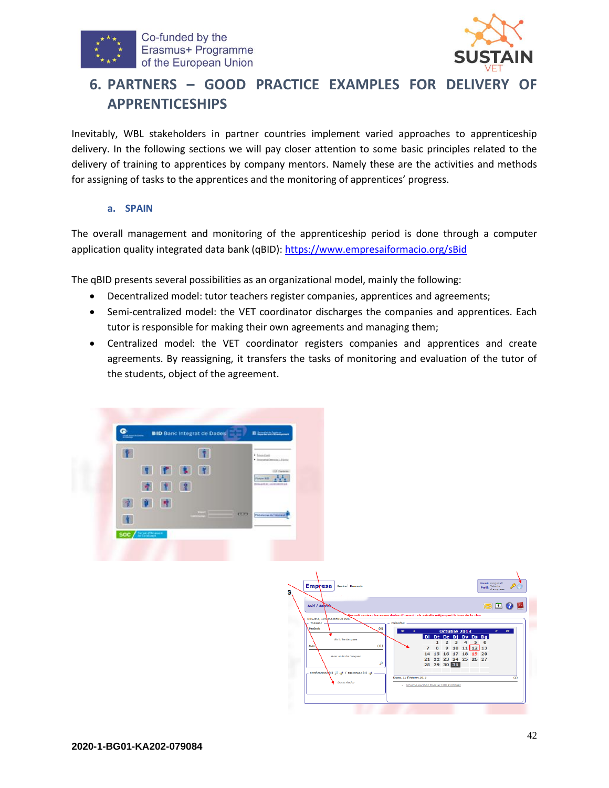



# <span id="page-41-0"></span>**6. PARTNERS – GOOD PRACTICE EXAMPLES FOR DELIVERY OF APPRENTICESHIPS**

Inevitably, WBL stakeholders in partner countries implement varied approaches to apprenticeship delivery. In the following sections we will pay closer attention to some basic principles related to the delivery of training to apprentices by company mentors. Namely these are the activities and methods for assigning of tasks to the apprentices and the monitoring of apprentices' progress.

#### **a. SPAIN**

The overall management and monitoring of the apprenticeship period is done through a computer application quality integrated data bank (qBID): <https://www.empresaiformacio.org/sBid>

The qBID presents several possibilities as an organizational model, mainly the following:

- Decentralized model: tutor teachers register companies, apprentices and agreements;
- Semi-centralized model: the VET coordinator discharges the companies and apprentices. Each tutor is responsible for making their own agreements and managing them;
- Centralized model: the VET coordinator registers companies and apprentices and create agreements. By reassigning, it transfers the tasks of monitoring and evaluation of the tutor of the students, object of the agreement.



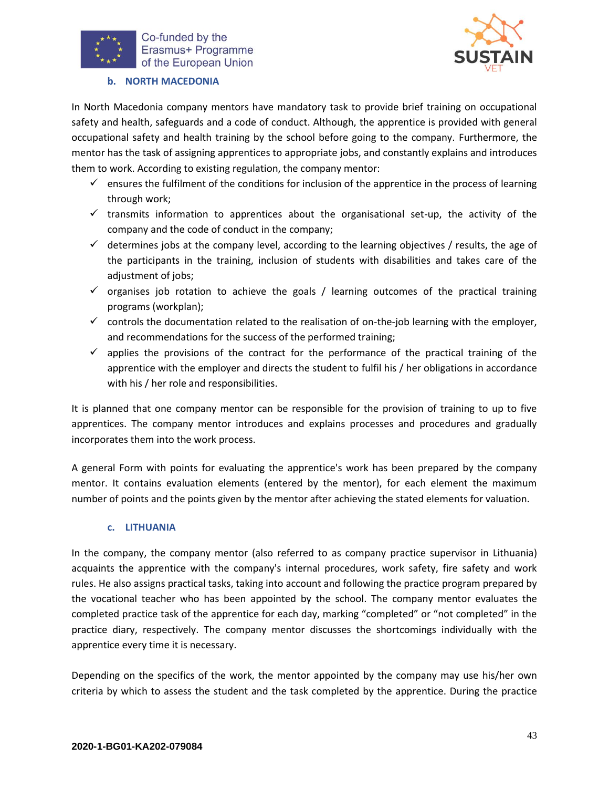



#### **b. NORTH MACEDONIA**

In North Macedonia company mentors have mandatory task to provide brief training on occupational safety and health, safeguards and a code of conduct. Although, the apprentice is provided with general occupational safety and health training by the school before going to the company. Furthermore, the mentor has the task of assigning apprentices to appropriate jobs, and constantly explains and introduces them to work. According to existing regulation, the company mentor:

- $\checkmark$  ensures the fulfilment of the conditions for inclusion of the apprentice in the process of learning through work;
- $\checkmark$  transmits information to apprentices about the organisational set-up, the activity of the company and the code of conduct in the company;
- $\checkmark$  determines jobs at the company level, according to the learning objectives / results, the age of the participants in the training, inclusion of students with disabilities and takes care of the adjustment of jobs;
- $\checkmark$  organises job rotation to achieve the goals / learning outcomes of the practical training programs (workplan);
- $\checkmark$  controls the documentation related to the realisation of on-the-job learning with the employer, and recommendations for the success of the performed training;
- $\checkmark$  applies the provisions of the contract for the performance of the practical training of the apprentice with the employer and directs the student to fulfil his / her obligations in accordance with his / her role and responsibilities.

It is planned that one company mentor can be responsible for the provision of training to up to five apprentices. The company mentor introduces and explains processes and procedures and gradually incorporates them into the work process.

A general Form with points for evaluating the apprentice's work has been prepared by the company mentor. It contains evaluation elements (entered by the mentor), for each element the maximum number of points and the points given by the mentor after achieving the stated elements for valuation.

#### **c. LITHUANIA**

In the company, the company mentor (also referred to as company practice supervisor in Lithuania) acquaints the apprentice with the company's internal procedures, work safety, fire safety and work rules. He also assigns practical tasks, taking into account and following the practice program prepared by the vocational teacher who has been appointed by the school. The company mentor evaluates the completed practice task of the apprentice for each day, marking "completed" or "not completed" in the practice diary, respectively. The company mentor discusses the shortcomings individually with the apprentice every time it is necessary.

Depending on the specifics of the work, the mentor appointed by the company may use his/her own criteria by which to assess the student and the task completed by the apprentice. During the practice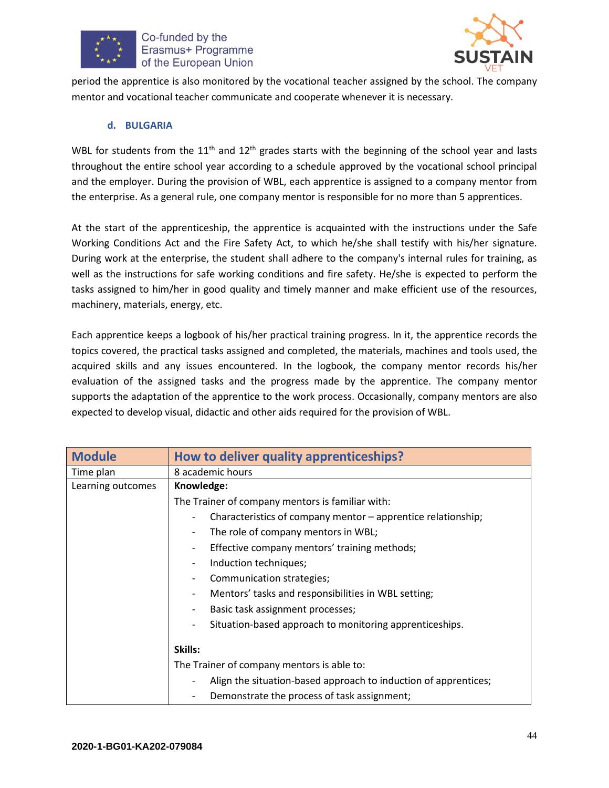



period the apprentice is also monitored by the vocational teacher assigned by the school. The company mentor and vocational teacher communicate and cooperate whenever it is necessary.

#### **d. BULGARIA**

WBL for students from the  $11<sup>th</sup>$  and  $12<sup>th</sup>$  grades starts with the beginning of the school year and lasts throughout the entire school year according to a schedule approved by the vocational school principal and the employer. During the provision of WBL, each apprentice is assigned to a company mentor from the enterprise. As a general rule, one company mentor is responsible for no more than 5 apprentices.

At the start of the apprenticeship, the apprentice is acquainted with the instructions under the Safe Working Conditions Act and the Fire Safety Act, to which he/she shall testify with his/her signature. During work at the enterprise, the student shall adhere to the company's internal rules for training, as well as the instructions for safe working conditions and fire safety. He/she is expected to perform the tasks assigned to him/her in good quality and timely manner and make efficient use of the resources, machinery, materials, energy, etc.

Each apprentice keeps a logbook of his/her practical training progress. In it, the apprentice records the topics covered, the practical tasks assigned and completed, the materials, machines and tools used, the acquired skills and any issues encountered. In the logbook, the company mentor records his/her evaluation of the assigned tasks and the progress made by the apprentice. The company mentor supports the adaptation of the apprentice to the work process. Occasionally, company mentors are also expected to develop visual, didactic and other aids required for the provision of WBL.

| <b>Module</b>     | How to deliver quality apprenticeships?                                                  |  |
|-------------------|------------------------------------------------------------------------------------------|--|
| Time plan         | 8 academic hours                                                                         |  |
| Learning outcomes | Knowledge:                                                                               |  |
|                   | The Trainer of company mentors is familiar with:                                         |  |
|                   | Characteristics of company mentor – apprentice relationship;<br>$\overline{\phantom{a}}$ |  |
|                   | The role of company mentors in WBL;<br>$\overline{\phantom{a}}$                          |  |
|                   | Effective company mentors' training methods;<br>-                                        |  |
|                   | Induction techniques;<br>-                                                               |  |
|                   | Communication strategies;<br>$\overline{\phantom{a}}$                                    |  |
|                   | Mentors' tasks and responsibilities in WBL setting;<br>-                                 |  |
|                   | Basic task assignment processes;<br>$\overline{\phantom{a}}$                             |  |
|                   | Situation-based approach to monitoring apprenticeships.<br>-                             |  |
|                   | Skills:                                                                                  |  |
|                   | The Trainer of company mentors is able to:                                               |  |
|                   | Align the situation-based approach to induction of apprentices;                          |  |
|                   | Demonstrate the process of task assignment;                                              |  |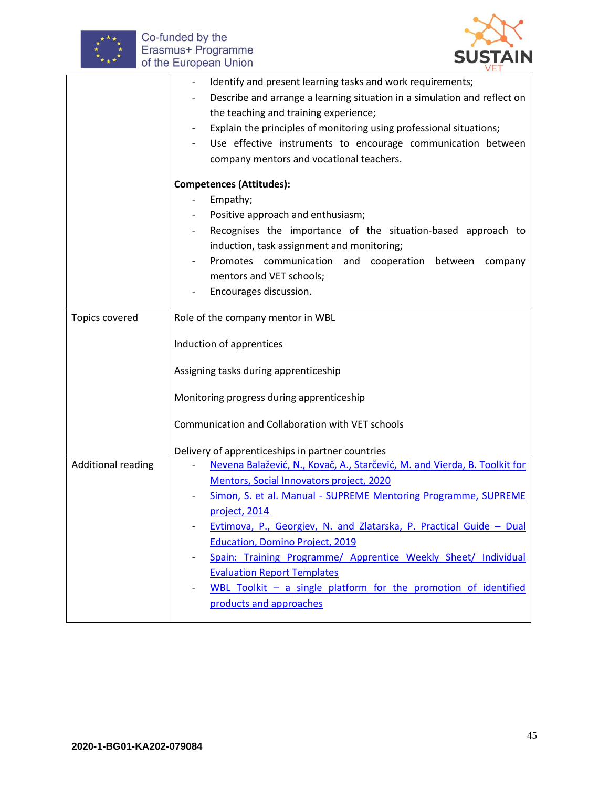



|                           | Identify and present learning tasks and work requirements;<br>$\overline{\phantom{a}}$ |
|---------------------------|----------------------------------------------------------------------------------------|
|                           | Describe and arrange a learning situation in a simulation and reflect on               |
|                           | the teaching and training experience;                                                  |
|                           | Explain the principles of monitoring using professional situations;                    |
|                           | Use effective instruments to encourage communication between                           |
|                           | company mentors and vocational teachers.                                               |
|                           | <b>Competences (Attitudes):</b>                                                        |
|                           | Empathy;                                                                               |
|                           | Positive approach and enthusiasm;                                                      |
|                           | Recognises the importance of the situation-based approach to                           |
|                           | induction, task assignment and monitoring;                                             |
|                           | Promotes communication and cooperation between company                                 |
|                           | mentors and VET schools;                                                               |
|                           | Encourages discussion.                                                                 |
|                           |                                                                                        |
| Topics covered            | Role of the company mentor in WBL                                                      |
|                           | Induction of apprentices                                                               |
|                           | Assigning tasks during apprenticeship                                                  |
|                           | Monitoring progress during apprenticeship                                              |
|                           | Communication and Collaboration with VET schools                                       |
|                           | Delivery of apprenticeships in partner countries                                       |
| <b>Additional reading</b> | Nevena Balažević, N., Kovač, A., Starčević, M. and Vierda, B. Toolkit for              |
|                           | Mentors, Social Innovators project, 2020                                               |
|                           | Simon, S. et al. Manual - SUPREME Mentoring Programme, SUPREME                         |
|                           | project, 2014                                                                          |
|                           | Evtimova, P., Georgiev, N. and Zlatarska, P. Practical Guide - Dual                    |
|                           | <b>Education, Domino Project, 2019</b>                                                 |
|                           | Spain: Training Programme/ Apprentice Weekly Sheet/ Individual                         |
|                           | <b>Evaluation Report Templates</b>                                                     |
|                           | WBL Toolkit - a single platform for the promotion of identified                        |
|                           | products and approaches                                                                |
|                           |                                                                                        |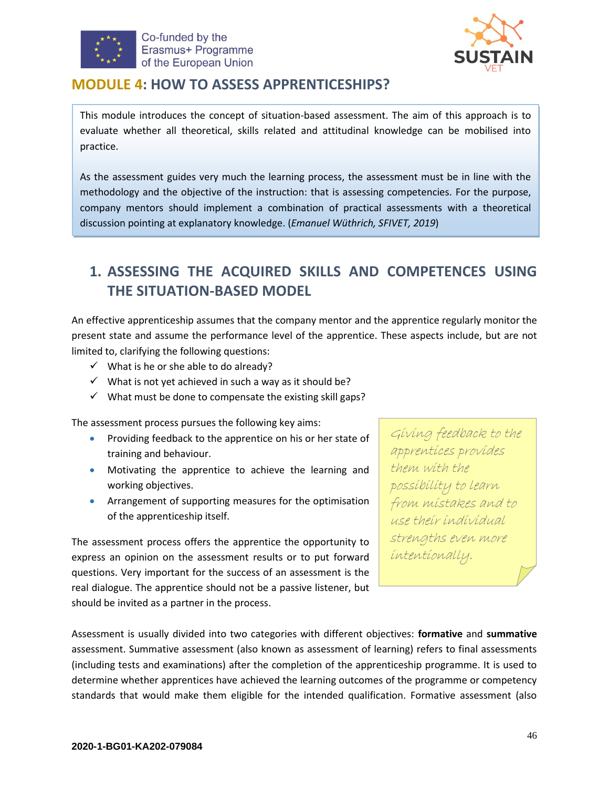



### <span id="page-45-0"></span>**MODULE 4: HOW TO ASSESS APPRENTICESHIPS?**

This module introduces the concept of situation-based assessment. The aim of this approach is to evaluate whether all theoretical, skills related and attitudinal knowledge can be mobilised into practice.

As the assessment guides very much the learning process, the assessment must be in line with the methodology and the objective of the instruction: that is assessing competencies. For the purpose, company mentors should implement a combination of practical assessments with a theoretical discussion pointing at explanatory knowledge. (*Emanuel Wüthrich, SFIVET, 2019*)

# <span id="page-45-1"></span>**1. ASSESSING THE ACQUIRED SKILLS AND COMPETENCES USING THE SITUATION-BASED MODEL**

An effective apprenticeship assumes that the company mentor and the apprentice regularly monitor the present state and assume the performance level of the apprentice. These aspects include, but are not limited to, clarifying the following questions:

- $\checkmark$  What is he or she able to do already?
- $\checkmark$  What is not yet achieved in such a way as it should be?
- $\checkmark$  What must be done to compensate the existing skill gaps?

The assessment process pursues the following key aims:

- Providing feedback to the apprentice on his or her state of training and behaviour.
- Motivating the apprentice to achieve the learning and working objectives.
- Arrangement of supporting measures for the optimisation of the apprenticeship itself.

The assessment process offers the apprentice the opportunity to express an opinion on the assessment results or to put forward questions. Very important for the success of an assessment is the real dialogue. The apprentice should not be a passive listener, but should be invited as a partner in the process.

Giving feedback to the apprentices provides them with the possibility to learn from mistakes and to use their individual strengths even more intentionally.

Assessment is usually divided into two categories with different objectives: **formative** and **summative** assessment. Summative assessment (also known as assessment of learning) refers to final assessments (including tests and examinations) after the completion of the apprenticeship programme. It is used to determine whether apprentices have achieved the learning outcomes of the programme or competency standards that would make them eligible for the intended qualification. Formative assessment (also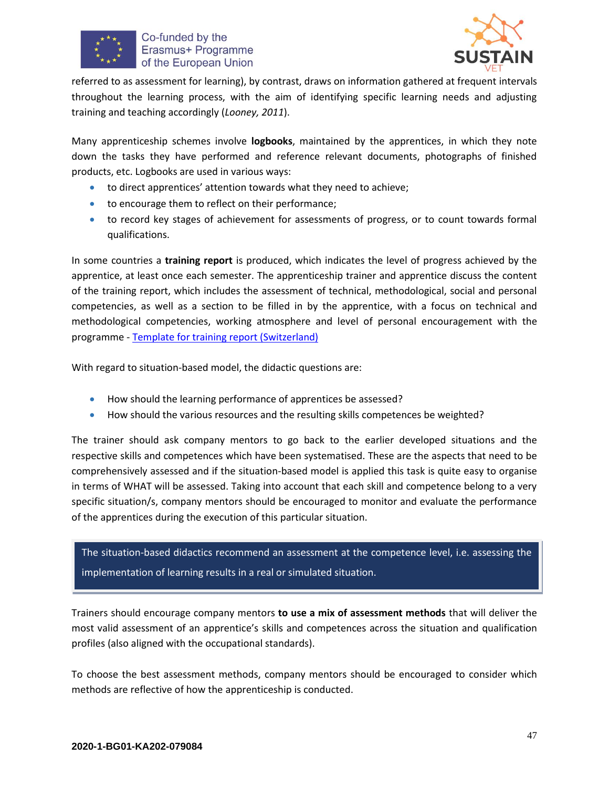



referred to as assessment for learning), by contrast, draws on information gathered at frequent intervals throughout the learning process, with the aim of identifying specific learning needs and adjusting training and teaching accordingly (*Looney, 2011*).

Many apprenticeship schemes involve **logbooks**, maintained by the apprentices, in which they note down the tasks they have performed and reference relevant documents, photographs of finished products, etc. Logbooks are used in various ways:

- to direct apprentices' attention towards what they need to achieve;
- to encourage them to reflect on their performance;
- to record key stages of achievement for assessments of progress, or to count towards formal qualifications.

In some countries a **training report** is produced, which indicates the level of progress achieved by the apprentice, at least once each semester. The apprenticeship trainer and apprentice discuss the content of the training report, which includes the assessment of technical, methodological, social and personal competencies, as well as a section to be filled in by the apprentice, with a focus on technical and methodological competencies, working atmosphere and level of personal encouragement with the programme - [Template for training report \(Switzerland\)](https://vpet.ch/dyn/bin/21423-23926-1-bildungsbericht_eg_2016i.pdf)

With regard to situation-based model, the didactic questions are:

- How should the learning performance of apprentices be assessed?
- How should the various resources and the resulting skills competences be weighted?

The trainer should ask company mentors to go back to the earlier developed situations and the respective skills and competences which have been systematised. These are the aspects that need to be comprehensively assessed and if the situation-based model is applied this task is quite easy to organise in terms of WHAT will be assessed. Taking into account that each skill and competence belong to a very specific situation/s, company mentors should be encouraged to monitor and evaluate the performance of the apprentices during the execution of this particular situation.

The situation-based didactics recommend an assessment at the competence level, i.e. assessing the implementation of learning results in a real or simulated situation.

Trainers should encourage company mentors **to use a mix of assessment methods** that will deliver the most valid assessment of an apprentice's skills and competences across the situation and qualification profiles (also aligned with the occupational standards).

To choose the best assessment methods, company mentors should be encouraged to consider which methods are reflective of how the apprenticeship is conducted.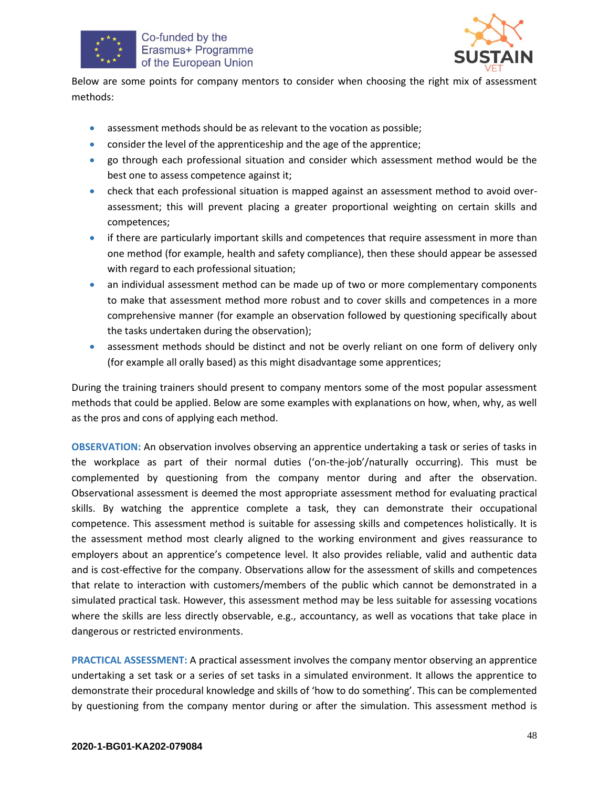



Below are some points for company mentors to consider when choosing the right mix of assessment methods:

- assessment methods should be as relevant to the vocation as possible;
- consider the level of the apprenticeship and the age of the apprentice;
- go through each professional situation and consider which assessment method would be the best one to assess competence against it;
- check that each professional situation is mapped against an assessment method to avoid overassessment; this will prevent placing a greater proportional weighting on certain skills and competences;
- if there are particularly important skills and competences that require assessment in more than one method (for example, health and safety compliance), then these should appear be assessed with regard to each professional situation;
- an individual assessment method can be made up of two or more complementary components to make that assessment method more robust and to cover skills and competences in a more comprehensive manner (for example an observation followed by questioning specifically about the tasks undertaken during the observation);
- assessment methods should be distinct and not be overly reliant on one form of delivery only (for example all orally based) as this might disadvantage some apprentices;

During the training trainers should present to company mentors some of the most popular assessment methods that could be applied. Below are some examples with explanations on how, when, why, as well as the pros and cons of applying each method.

**OBSERVATION:** An observation involves observing an apprentice undertaking a task or series of tasks in the workplace as part of their normal duties ('on-the-job'/naturally occurring). This must be complemented by questioning from the company mentor during and after the observation. Observational assessment is deemed the most appropriate assessment method for evaluating practical skills. By watching the apprentice complete a task, they can demonstrate their occupational competence. This assessment method is suitable for assessing skills and competences holistically. It is the assessment method most clearly aligned to the working environment and gives reassurance to employers about an apprentice's competence level. It also provides reliable, valid and authentic data and is cost-effective for the company. Observations allow for the assessment of skills and competences that relate to interaction with customers/members of the public which cannot be demonstrated in a simulated practical task. However, this assessment method may be less suitable for assessing vocations where the skills are less directly observable, e.g., accountancy, as well as vocations that take place in dangerous or restricted environments.

**PRACTICAL ASSESSMENT:** A practical assessment involves the company mentor observing an apprentice undertaking a set task or a series of set tasks in a simulated environment. It allows the apprentice to demonstrate their procedural knowledge and skills of 'how to do something'. This can be complemented by questioning from the company mentor during or after the simulation. This assessment method is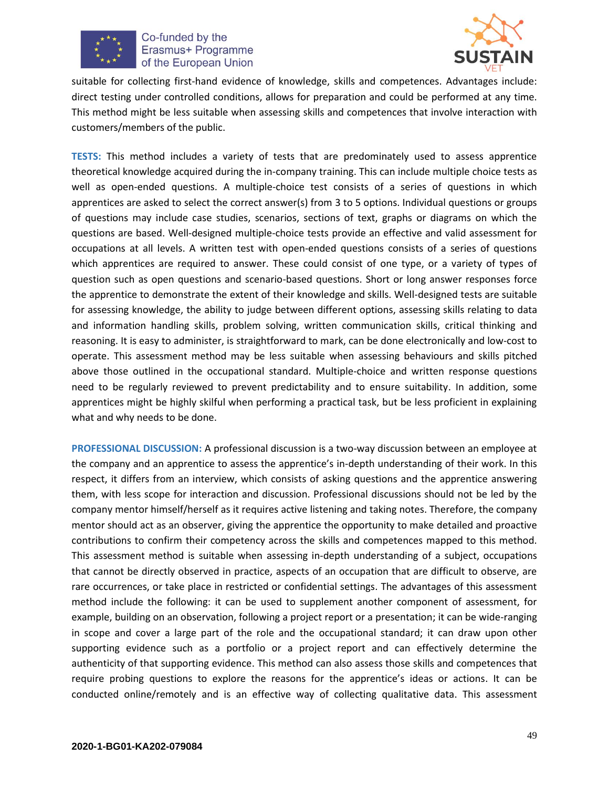



suitable for collecting first-hand evidence of knowledge, skills and competences. Advantages include: direct testing under controlled conditions, allows for preparation and could be performed at any time. This method might be less suitable when assessing skills and competences that involve interaction with customers/members of the public.

**TESTS:** This method includes a variety of tests that are predominately used to assess apprentice theoretical knowledge acquired during the in-company training. This can include multiple choice tests as well as open-ended questions. A multiple-choice test consists of a series of questions in which apprentices are asked to select the correct answer(s) from 3 to 5 options. Individual questions or groups of questions may include case studies, scenarios, sections of text, graphs or diagrams on which the questions are based. Well-designed multiple-choice tests provide an effective and valid assessment for occupations at all levels. A written test with open-ended questions consists of a series of questions which apprentices are required to answer. These could consist of one type, or a variety of types of question such as open questions and scenario-based questions. Short or long answer responses force the apprentice to demonstrate the extent of their knowledge and skills. Well-designed tests are suitable for assessing knowledge, the ability to judge between different options, assessing skills relating to data and information handling skills, problem solving, written communication skills, critical thinking and reasoning. It is easy to administer, is straightforward to mark, can be done electronically and low-cost to operate. This assessment method may be less suitable when assessing behaviours and skills pitched above those outlined in the occupational standard. Multiple-choice and written response questions need to be regularly reviewed to prevent predictability and to ensure suitability. In addition, some apprentices might be highly skilful when performing a practical task, but be less proficient in explaining what and why needs to be done.

**PROFESSIONAL DISCUSSION:** A professional discussion is a two-way discussion between an employee at the company and an apprentice to assess the apprentice's in-depth understanding of their work. In this respect, it differs from an interview, which consists of asking questions and the apprentice answering them, with less scope for interaction and discussion. Professional discussions should not be led by the company mentor himself/herself as it requires active listening and taking notes. Therefore, the company mentor should act as an observer, giving the apprentice the opportunity to make detailed and proactive contributions to confirm their competency across the skills and competences mapped to this method. This assessment method is suitable when assessing in-depth understanding of a subject, occupations that cannot be directly observed in practice, aspects of an occupation that are difficult to observe, are rare occurrences, or take place in restricted or confidential settings. The advantages of this assessment method include the following: it can be used to supplement another component of assessment, for example, building on an observation, following a project report or a presentation; it can be wide-ranging in scope and cover a large part of the role and the occupational standard; it can draw upon other supporting evidence such as a portfolio or a project report and can effectively determine the authenticity of that supporting evidence. This method can also assess those skills and competences that require probing questions to explore the reasons for the apprentice's ideas or actions. It can be conducted online/remotely and is an effective way of collecting qualitative data. This assessment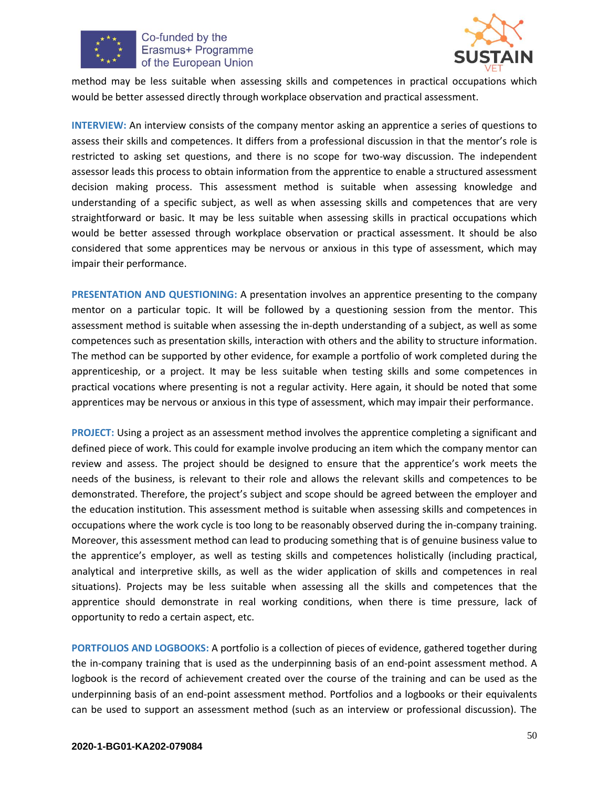



method may be less suitable when assessing skills and competences in practical occupations which would be better assessed directly through workplace observation and practical assessment.

**INTERVIEW:** An interview consists of the company mentor asking an apprentice a series of questions to assess their skills and competences. It differs from a professional discussion in that the mentor's role is restricted to asking set questions, and there is no scope for two-way discussion. The independent assessor leads this process to obtain information from the apprentice to enable a structured assessment decision making process. This assessment method is suitable when assessing knowledge and understanding of a specific subject, as well as when assessing skills and competences that are very straightforward or basic. It may be less suitable when assessing skills in practical occupations which would be better assessed through workplace observation or practical assessment. It should be also considered that some apprentices may be nervous or anxious in this type of assessment, which may impair their performance.

**PRESENTATION AND QUESTIONING:** A presentation involves an apprentice presenting to the company mentor on a particular topic. It will be followed by a questioning session from the mentor. This assessment method is suitable when assessing the in-depth understanding of a subject, as well as some competences such as presentation skills, interaction with others and the ability to structure information. The method can be supported by other evidence, for example a portfolio of work completed during the apprenticeship, or a project. It may be less suitable when testing skills and some competences in practical vocations where presenting is not a regular activity. Here again, it should be noted that some apprentices may be nervous or anxious in this type of assessment, which may impair their performance.

**PROJECT:** Using a project as an assessment method involves the apprentice completing a significant and defined piece of work. This could for example involve producing an item which the company mentor can review and assess. The project should be designed to ensure that the apprentice's work meets the needs of the business, is relevant to their role and allows the relevant skills and competences to be demonstrated. Therefore, the project's subject and scope should be agreed between the employer and the education institution. This assessment method is suitable when assessing skills and competences in occupations where the work cycle is too long to be reasonably observed during the in-company training. Moreover, this assessment method can lead to producing something that is of genuine business value to the apprentice's employer, as well as testing skills and competences holistically (including practical, analytical and interpretive skills, as well as the wider application of skills and competences in real situations). Projects may be less suitable when assessing all the skills and competences that the apprentice should demonstrate in real working conditions, when there is time pressure, lack of opportunity to redo a certain aspect, etc.

**PORTFOLIOS AND LOGBOOKS:** A portfolio is a collection of pieces of evidence, gathered together during the in-company training that is used as the underpinning basis of an end-point assessment method. A logbook is the record of achievement created over the course of the training and can be used as the underpinning basis of an end-point assessment method. Portfolios and a logbooks or their equivalents can be used to support an assessment method (such as an interview or professional discussion). The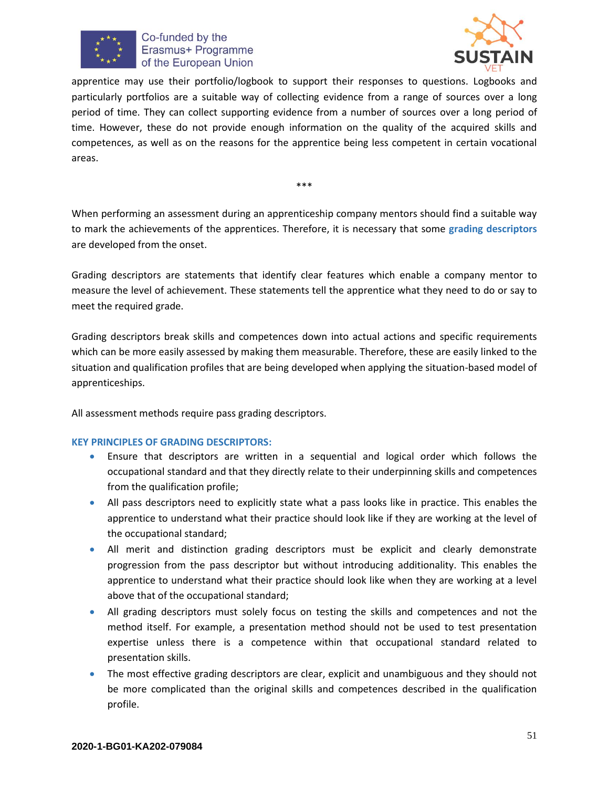



apprentice may use their portfolio/logbook to support their responses to questions. Logbooks and particularly portfolios are a suitable way of collecting evidence from a range of sources over a long period of time. They can collect supporting evidence from a number of sources over a long period of time. However, these do not provide enough information on the quality of the acquired skills and competences, as well as on the reasons for the apprentice being less competent in certain vocational areas.

\*\*\*

When performing an assessment during an apprenticeship company mentors should find a suitable way to mark the achievements of the apprentices. Therefore, it is necessary that some **grading descriptors** are developed from the onset.

Grading descriptors are statements that identify clear features which enable a company mentor to measure the level of achievement. These statements tell the apprentice what they need to do or say to meet the required grade.

Grading descriptors break skills and competences down into actual actions and specific requirements which can be more easily assessed by making them measurable. Therefore, these are easily linked to the situation and qualification profiles that are being developed when applying the situation-based model of apprenticeships.

All assessment methods require pass grading descriptors.

#### **KEY PRINCIPLES OF GRADING DESCRIPTORS:**

- Ensure that descriptors are written in a sequential and logical order which follows the occupational standard and that they directly relate to their underpinning skills and competences from the qualification profile;
- All pass descriptors need to explicitly state what a pass looks like in practice. This enables the apprentice to understand what their practice should look like if they are working at the level of the occupational standard;
- All merit and distinction grading descriptors must be explicit and clearly demonstrate progression from the pass descriptor but without introducing additionality. This enables the apprentice to understand what their practice should look like when they are working at a level above that of the occupational standard;
- All grading descriptors must solely focus on testing the skills and competences and not the method itself. For example, a presentation method should not be used to test presentation expertise unless there is a competence within that occupational standard related to presentation skills.
- The most effective grading descriptors are clear, explicit and unambiguous and they should not be more complicated than the original skills and competences described in the qualification profile.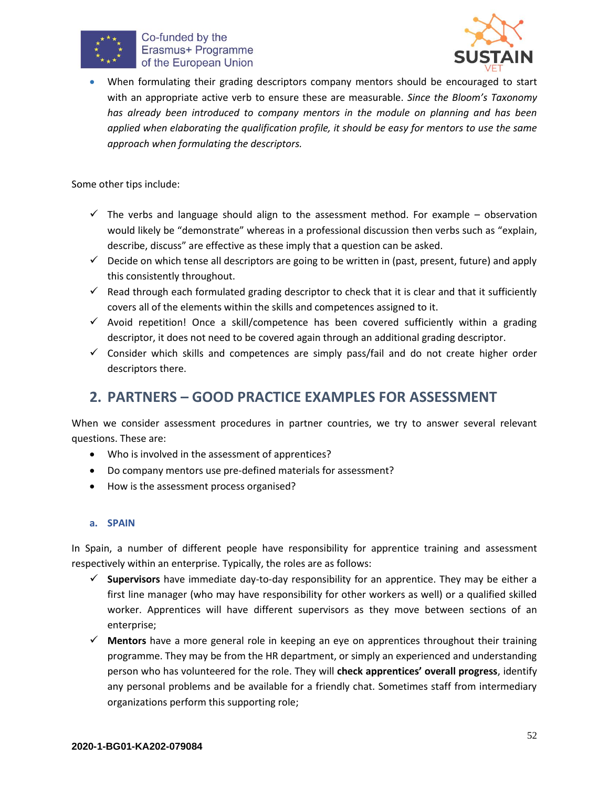



• When formulating their grading descriptors company mentors should be encouraged to start with an appropriate active verb to ensure these are measurable. *Since the Bloom's Taxonomy*  has already been introduced to company mentors in the module on planning and has been *applied when elaborating the qualification profile, it should be easy for mentors to use the same approach when formulating the descriptors.* 

Some other tips include:

- $\checkmark$  The verbs and language should align to the assessment method. For example observation would likely be "demonstrate" whereas in a professional discussion then verbs such as "explain, describe, discuss" are effective as these imply that a question can be asked.
- $\checkmark$  Decide on which tense all descriptors are going to be written in (past, present, future) and apply this consistently throughout.
- $\checkmark$  Read through each formulated grading descriptor to check that it is clear and that it sufficiently covers all of the elements within the skills and competences assigned to it.
- $\checkmark$  Avoid repetition! Once a skill/competence has been covered sufficiently within a grading descriptor, it does not need to be covered again through an additional grading descriptor.
- ✓ Consider which skills and competences are simply pass/fail and do not create higher order descriptors there.

# <span id="page-51-0"></span>**2. PARTNERS – GOOD PRACTICE EXAMPLES FOR ASSESSMENT**

When we consider assessment procedures in partner countries, we try to answer several relevant questions. These are:

- Who is involved in the assessment of apprentices?
- Do company mentors use pre-defined materials for assessment?
- How is the assessment process organised?

#### **a. SPAIN**

In Spain, a number of different people have responsibility for apprentice training and assessment respectively within an enterprise. Typically, the roles are as follows:

- ✓ **Supervisors** have immediate day-to-day responsibility for an apprentice. They may be either a first line manager (who may have responsibility for other workers as well) or a qualified skilled worker. Apprentices will have different supervisors as they move between sections of an enterprise;
- ✓ **Mentors** have a more general role in keeping an eye on apprentices throughout their training programme. They may be from the HR department, or simply an experienced and understanding person who has volunteered for the role. They will **check apprentices' overall progress**, identify any personal problems and be available for a friendly chat. Sometimes staff from intermediary organizations perform this supporting role;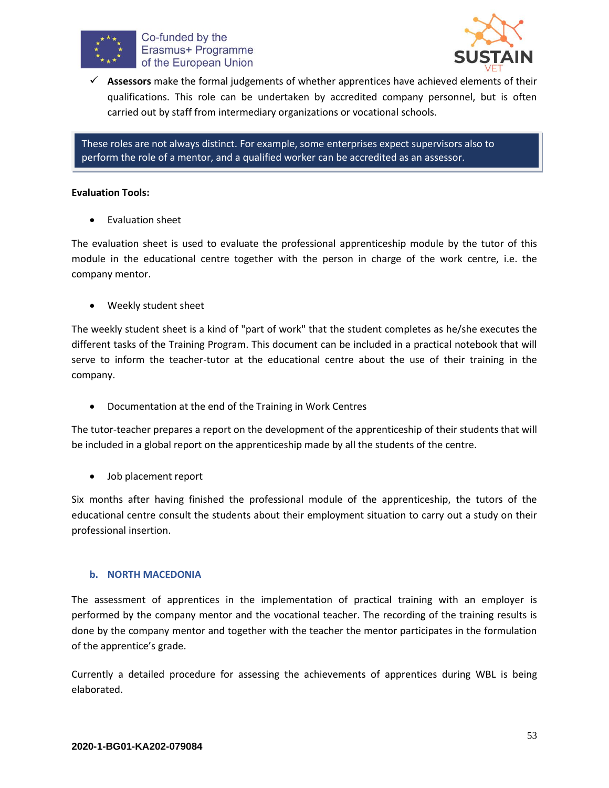



✓ **Assessors** make the formal judgements of whether apprentices have achieved elements of their qualifications. This role can be undertaken by accredited company personnel, but is often carried out by staff from intermediary organizations or vocational schools.

These roles are not always distinct. For example, some enterprises expect supervisors also to perform the role of a mentor, and a qualified worker can be accredited as an assessor.

#### **Evaluation Tools:**

• Evaluation sheet

The evaluation sheet is used to evaluate the professional apprenticeship module by the tutor of this module in the educational centre together with the person in charge of the work centre, i.e. the company mentor.

• Weekly student sheet

The weekly student sheet is a kind of "part of work" that the student completes as he/she executes the different tasks of the Training Program. This document can be included in a practical notebook that will serve to inform the teacher-tutor at the educational centre about the use of their training in the company.

• Documentation at the end of the Training in Work Centres

The tutor-teacher prepares a report on the development of the apprenticeship of their students that will be included in a global report on the apprenticeship made by all the students of the centre.

• Job placement report

Six months after having finished the professional module of the apprenticeship, the tutors of the educational centre consult the students about their employment situation to carry out a study on their professional insertion.

#### **b. NORTH MACEDONIA**

The assessment of apprentices in the implementation of practical training with an employer is performed by the company mentor and the vocational teacher. The recording of the training results is done by the company mentor and together with the teacher the mentor participates in the formulation of the apprentice's grade.

Currently a detailed procedure for assessing the achievements of apprentices during WBL is being elaborated.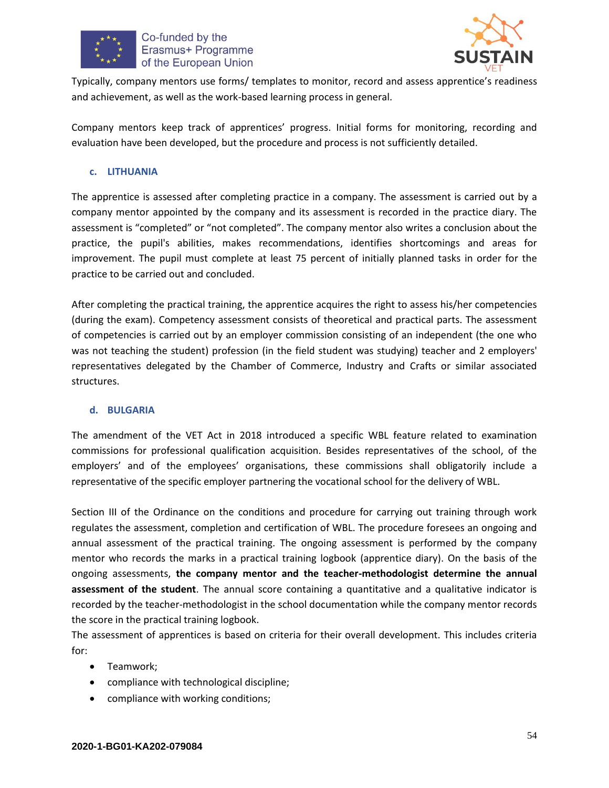



Typically, company mentors use forms/ templates to monitor, record and assess apprentice's readiness and achievement, as well as the work-based learning process in general.

Company mentors keep track of apprentices' progress. Initial forms for monitoring, recording and evaluation have been developed, but the procedure and process is not sufficiently detailed.

#### **c. LITHUANIA**

The apprentice is assessed after completing practice in a company. The assessment is carried out by a company mentor appointed by the company and its assessment is recorded in the practice diary. The assessment is "completed" or "not completed". The company mentor also writes a conclusion about the practice, the pupil's abilities, makes recommendations, identifies shortcomings and areas for improvement. The pupil must complete at least 75 percent of initially planned tasks in order for the practice to be carried out and concluded.

After completing the practical training, the apprentice acquires the right to assess his/her competencies (during the exam). Competency assessment consists of theoretical and practical parts. The assessment of competencies is carried out by an employer commission consisting of an independent (the one who was not teaching the student) profession (in the field student was studying) teacher and 2 employers' representatives delegated by the Chamber of Commerce, Industry and Crafts or similar associated structures.

#### **d. BULGARIA**

The amendment of the VET Act in 2018 introduced a specific WBL feature related to examination commissions for professional qualification acquisition. Besides representatives of the school, of the employers' and of the employees' organisations, these commissions shall obligatorily include a representative of the specific employer partnering the vocational school for the delivery of WBL.

Section III of the Ordinance on the conditions and procedure for carrying out training through work regulates the assessment, completion and certification of WBL. The procedure foresees an ongoing and annual assessment of the practical training. The ongoing assessment is performed by the company mentor who records the marks in a practical training logbook (apprentice diary). On the basis of the ongoing assessments, **the company mentor and the teacher-methodologist determine the annual assessment of the student**. The annual score containing a quantitative and a qualitative indicator is recorded by the teacher-methodologist in the school documentation while the company mentor records the score in the practical training logbook.

The assessment of apprentices is based on criteria for their overall development. This includes criteria for:

- Teamwork;
- compliance with technological discipline;
- compliance with working conditions;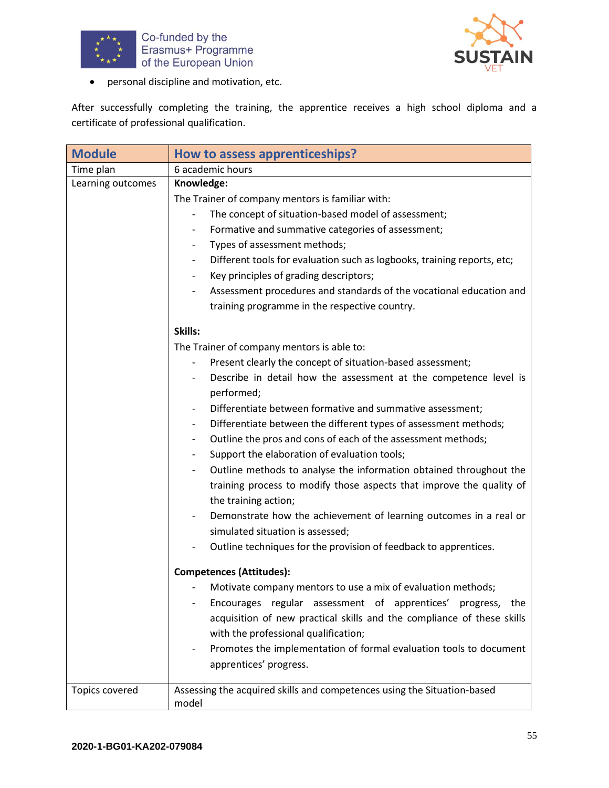



• personal discipline and motivation, etc.

After successfully completing the training, the apprentice receives a high school diploma and a certificate of professional qualification.

| <b>Module</b>     | How to assess apprenticeships?                                                                  |
|-------------------|-------------------------------------------------------------------------------------------------|
| Time plan         | 6 academic hours                                                                                |
| Learning outcomes | Knowledge:                                                                                      |
|                   | The Trainer of company mentors is familiar with:                                                |
|                   | The concept of situation-based model of assessment;<br>$\overline{\phantom{a}}$                 |
|                   | Formative and summative categories of assessment;                                               |
|                   | Types of assessment methods;                                                                    |
|                   | Different tools for evaluation such as logbooks, training reports, etc;                         |
|                   | Key principles of grading descriptors;                                                          |
|                   | Assessment procedures and standards of the vocational education and<br>$\overline{\phantom{a}}$ |
|                   | training programme in the respective country.                                                   |
|                   | Skills:                                                                                         |
|                   | The Trainer of company mentors is able to:                                                      |
|                   | Present clearly the concept of situation-based assessment;<br>$\qquad \qquad \blacksquare$      |
|                   | Describe in detail how the assessment at the competence level is                                |
|                   | performed;                                                                                      |
|                   | Differentiate between formative and summative assessment;                                       |
|                   | Differentiate between the different types of assessment methods;                                |
|                   | Outline the pros and cons of each of the assessment methods;                                    |
|                   | Support the elaboration of evaluation tools;                                                    |
|                   | Outline methods to analyse the information obtained throughout the<br>$\overline{\phantom{a}}$  |
|                   | training process to modify those aspects that improve the quality of                            |
|                   | the training action;                                                                            |
|                   | Demonstrate how the achievement of learning outcomes in a real or                               |
|                   | simulated situation is assessed;                                                                |
|                   | Outline techniques for the provision of feedback to apprentices.                                |
|                   | <b>Competences (Attitudes):</b>                                                                 |
|                   | Motivate company mentors to use a mix of evaluation methods;                                    |
|                   | Encourages regular assessment of apprentices' progress, the                                     |
|                   | acquisition of new practical skills and the compliance of these skills                          |
|                   | with the professional qualification;                                                            |
|                   | Promotes the implementation of formal evaluation tools to document                              |
|                   | apprentices' progress.                                                                          |
| Topics covered    | Assessing the acquired skills and competences using the Situation-based<br>model                |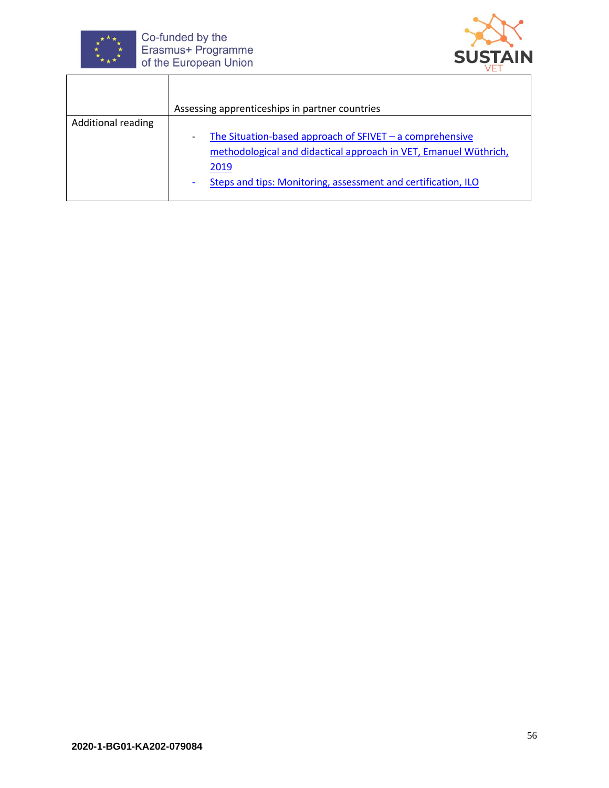

 $\overline{\phantom{a}}$ 

Co-funded by the<br>Erasmus+ Programme<br>of the European Union

Τ



|                           | Assessing apprenticeships in partner countries                                                                                                                                                                                           |
|---------------------------|------------------------------------------------------------------------------------------------------------------------------------------------------------------------------------------------------------------------------------------|
| <b>Additional reading</b> |                                                                                                                                                                                                                                          |
|                           | The Situation-based approach of $SFIVET - a$ comprehensive<br>$\overline{\phantom{a}}$<br>methodological and didactical approach in VET, Emanuel Wüthrich,<br>2019<br>Steps and tips: Monitoring, assessment and certification, ILO<br>۰ |